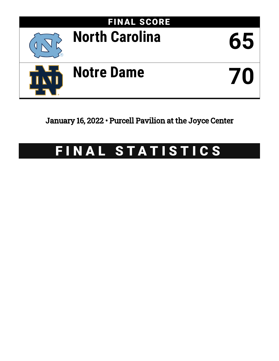

January 16, 2022 • Purcell Pavilion at the Joyce Center

# FINAL STATISTICS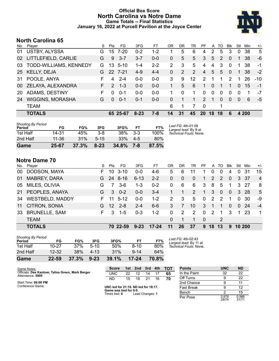# **Official Box Score North Carolina vs Notre Dame Game Totals -- Final Statistics January 16, 2022 at Purcell Pavilion at the Joyce Center**



# **North Carolina 65**

| No. | Plaver                  | S  | Pts           | FG.      | 3FG      | FТ      | OR | DR | TR            | <b>PF</b>     | A            | TO            | <b>Blk</b>    | Stl      | Min   | $+/-$ |
|-----|-------------------------|----|---------------|----------|----------|---------|----|----|---------------|---------------|--------------|---------------|---------------|----------|-------|-------|
| 01  | USTBY, ALYSSA           | G  | 15            | 7-20     | $0 - 2$  | 1-2     |    | 5  | 6             | 4             | 2            | 5             | 3             | 0        | 38    | 5     |
| 02  | LITTLEFIELD, CARLIE     | G  | 9             | $3 - 7$  | $3 - 7$  | $0-0$   | 0  | 5  | 5             | 3             | 5            | $\mathcal{P}$ | $\Omega$      |          | 38    | $-6$  |
| 03  | TODD-WILLIAMS, KENNEDY  | G  | 13            | $5 - 10$ | 1-4      | $2 - 2$ | 2  | 3  | 5             | 4             | 4            | 3             | $\Omega$      |          | 38    | -1    |
| 25  | <b>KELLY, DEJA</b>      | G  | 22            | $7 - 21$ | $4-9$    | $4 - 4$ | 0  | 2  | $\mathcal{P}$ | 4             | 5            | 5             | $\Omega$      | 1.       | 38    | $-2$  |
| 31  | POOLE, ANYA             |    | 4             | $2 - 4$  | $0-0$    | $0 - 0$ | 3  | 9  | 12            | $\mathcal{P}$ |              |               | $\mathcal{P}$ |          | 26    | $-10$ |
| 00  | ZELAYA, ALEXANDRA       | F. | $\mathcal{P}$ | $1 - 3$  | $0 - 0$  | $0-0$   |    | 5  | 6             | 1             | $\Omega$     | 1             | 1             | $\Omega$ | 15    | -1    |
| 20  | ADAMS, DESTINY          | F  | 0             | $0 - 1$  | $0-0$    | $0 - 0$ |    | 0  | 1             | $\Omega$      | $\mathbf{0}$ | 0             | $\Omega$      | $\Omega$ |       | -7    |
| 24  | <b>WIGGINS, MORASHA</b> | G  | $\Omega$      | $0 - 1$  | $0 - 1$  | $0-0$   | 0  |    | 1             | $\mathcal{P}$ | -1           | $\Omega$      | $\Omega$      | $\Omega$ | 6     | -5    |
|     | <b>TEAM</b>             |    |               |          |          |         | 6  | 1  | 7             | -0            |              | 1             |               |          |       |       |
|     | <b>TOTALS</b>           |    |               | 65 25-67 | $8 - 23$ | 7-8     | 14 | 31 | 45            | <b>20</b>     | 18           | 18            | 6             |          | 4 200 |       |

| Game                                | 25-67 | 37.3% | $8 - 23$ | 34.8% | 7-8   | 87.5% |                                             |
|-------------------------------------|-------|-------|----------|-------|-------|-------|---------------------------------------------|
| 2nd Half                            | 11-36 | 31%   | $5 - 15$ | 33%   | $4-5$ | 80%   |                                             |
| 1st Half                            | 14-31 | 45%   | $3 - 8$  | 38%   | $3-3$ | 100%  | Technical Fouls: None.                      |
| <b>Shooting By Period</b><br>Period | FG    | FG%   | 3FG      | 3FG%  | FT    | FT%   | Last FG: 4th-01:08<br>Largest lead: By 9 at |

# **Notre Dame 70**

| No. | Player                 | S. | Pts             | FG       | 3FG      | FТ        | OR             | DR       | TR           | PF.         | A             | TO            | <b>BIK</b>     | Stl            | Min  | $+/-$          |
|-----|------------------------|----|-----------------|----------|----------|-----------|----------------|----------|--------------|-------------|---------------|---------------|----------------|----------------|------|----------------|
| 00  | DODSON, MAYA           | F. | 10              | $3 - 10$ | $0 - 0$  | $4-6$     | 5              | 6        | 11           |             | 0             | 0             | 4              | 0              | 31   | 15             |
| 01  | <b>MABREY, DARA</b>    | G. |                 | 24 8-16  | $6 - 13$ | $2 - 2$   | $\Omega$       | $\Omega$ | $\mathbf{0}$ | 1           | 2             | 2             | $\mathbf{0}$   | $\mathbf{3}$   | -37  | $\overline{4}$ |
| 05  | MILES, OLIVIA          | G  | 7               | $3-6$    | $1 - 3$  | $0 - 2$   | 0              | 6        | 6            | 3           | 8             | 5             | -1             | 3              | -27  | -8             |
| 21  | PEOPLES, ANAYA         | G. | 3               | $0 - 2$  | $0 - 0$  | $3 - 4$   |                | 1        | 2            | $\mathbf 1$ | 3             | $\Omega$      | $\overline{0}$ | 3              | -28  | 5              |
| 34  | <b>WESTBELD, MADDY</b> | F. | 11              | $5 - 12$ | $0-0$    | $1 - 2$   | $\overline{2}$ | 3        | 5            | $\Omega$    | 2             | $\mathcal{P}$ |                | $\Omega$       | 30   | -9             |
| 11  | CITRON, SONIA          | G. | 12 <sup>2</sup> | $2 - 8$  | $2 - 4$  | $6 - 6$   | 3              | 7        | 10           | 3           | -1            |               | $\Omega$       | $\Omega$       | 24   | $-4$           |
| 33  | <b>BRUNELLE, SAM</b>   | E. | 3               | $1 - 5$  | $0 - 3$  | $1 - 2$   | $\Omega$       | 2        | 2            | $\Omega$    | $\mathcal{P}$ | 1             | 3              | $\overline{1}$ | - 23 | $\mathbf 1$    |
|     | <b>TEAM</b>            |    |                 |          |          |           | $\Omega$       |          |              | 0           |               | 2             |                |                |      |                |
|     | <b>TOTALS</b>          |    |                 | 70 22-59 | $9 - 23$ | $17 - 24$ | 11             | 26       | 37           | 9           | 18            | 13            | 9              | 10 200         |      |                |

| Game                                | 22-59     | 37.3% | $9 - 23$ | 39.1% | $17 - 24$ | 70.8% |   |
|-------------------------------------|-----------|-------|----------|-------|-----------|-------|---|
| 2nd Half                            | $12 - 32$ | 38%   | 4-13     | 31%   | $9 - 14$  | 64%   |   |
| 1st Half                            | 10-27     | 37%   | $5-10$   | 50%   | $8 - 10$  | 80%   | Τ |
| <b>Shooting By Period</b><br>Period | FG        | FG%   | 3FG      | 3FG%  | FT        | FT%   |   |

*Last FG:* 4th-02:43 *Largest lead:* By 11 at *Technical Fouls:* None.

| Game Notes:                                                           | <b>Score</b>                            | 1st l | 2nd             | $\sqrt{3}$ rd | 4th | <b>TOT</b> | <b>Points</b>     | <b>UNC</b>     | <b>ND</b>      |
|-----------------------------------------------------------------------|-----------------------------------------|-------|-----------------|---------------|-----|------------|-------------------|----------------|----------------|
| Officials: Dee Kantner, Talisa Green, Mark Berger<br>Attendance: 5905 | UNC                                     | 22    |                 | 14            |     | 65         | In the Paint      | 32             | 22             |
|                                                                       | <b>ND</b>                               | 15    | 18              | 21            | 16  | 70         | Off Turns         |                | 22             |
| Start Time: 06:00 PM                                                  |                                         |       |                 |               |     |            | 2nd Chance        |                | 11             |
| Conference Game:                                                      | UNC led for 21:19. ND led for 18:17.    |       |                 |               |     |            | <b>Fast Break</b> |                | 12             |
|                                                                       | Game was tied for 0:0.<br>Times tied: 0 |       | Lead Changes: 1 |               |     |            | Bench             |                | 15             |
|                                                                       |                                         |       |                 |               |     |            | Per Poss          | 0.878<br>29/74 | 0.986<br>31/71 |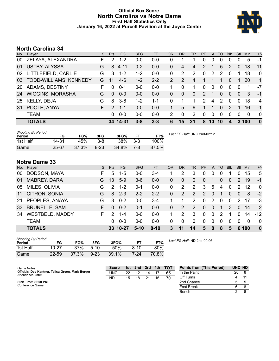# **Official Box Score North Carolina vs Notre Dame First Half Statistics Only January 16, 2022 at Purcell Pavilion at the Joyce Center**



# **North Carolina 34**

| No.       | Player                  | S. | <b>Pts</b>    | <b>FG</b> | 3FG     | <b>FT</b> | <b>OR</b>     | DR            | TR             | <b>PF</b>      | $\mathsf{A}$  | TO       | <b>BIK</b>     | Stl      | <b>Min</b> | $+/-$          |
|-----------|-------------------------|----|---------------|-----------|---------|-----------|---------------|---------------|----------------|----------------|---------------|----------|----------------|----------|------------|----------------|
| 00        | ZELAYA, ALEXANDRA       | F  | 2             | $1 - 2$   | $0 - 0$ | $0 - 0$   | 0             |               | 1              | 0              | 0             |          | 0              | 0        | 5          | -1             |
| 01        | <b>USTBY, ALYSSA</b>    | G  | 8             | $4 - 11$  | $0 - 2$ | $0 - 0$   | 0             | 4             | 4              | $\overline{2}$ | -1            | 5        | 2              | $\Omega$ | 18         | 11             |
| 02        | LITTLEFIELD, CARLIE     | G  | 3             | $1 - 2$   | $1 - 2$ | $0 - 0$   | 0             | 2             | 2              | 0              | $\mathcal{P}$ | 2        | $\Omega$       |          | 18         | $\mathbf 0$    |
| 03        | TODD-WILLIAMS, KENNEDY  | G  | 11            | $4-6$     | $1 - 2$ | $2 - 2$   | $\mathcal{P}$ | $\mathcal{P}$ | $\overline{4}$ |                |               |          | $\Omega$       |          | 20         | $\mathbf{1}$   |
| <b>20</b> | ADAMS, DESTINY          | F  | 0             | $0 - 1$   | $0 - 0$ | $0 - 0$   |               | $\Omega$      | 1              | $\Omega$       | $\mathbf{0}$  | $\Omega$ | $\Omega$       | $\Omega$ |            | -7             |
| 24        | <b>WIGGINS, MORASHA</b> | G  | $\Omega$      | $0 - 0$   | $0 - 0$ | $0 - 0$   | 0             | $\Omega$      | $\overline{0}$ | 2              | -1            | $\Omega$ | $\overline{0}$ | $\Omega$ | -3         | $-1$           |
| 25        | <b>KELLY, DEJA</b>      | G  | 8             | $3 - 8$   | $1 - 2$ | $1 - 1$   | 0             | 1             | 1              | $\mathcal{P}$  | 4             | 2        | $\Omega$       | $\Omega$ | 18         | $\overline{4}$ |
| 31        | POOLE, ANYA             | F. | $\mathcal{P}$ | $1 - 1$   | $0-0$   | $0 - 0$   |               | 5             | 6              |                |               | $\Omega$ | $\mathcal{P}$  |          | 16         | $-1$           |
|           | <b>TEAM</b>             |    | 0             | $0-0$     | $0 - 0$ | $0 - 0$   | $\mathcal{P}$ | $\Omega$      | 2              | 0              | $\mathbf{0}$  | $\Omega$ | $\Omega$       | $\Omega$ | $\Omega$   | $\Omega$       |
|           | <b>TOTALS</b>           |    |               | 34 14-31  | $3 - 8$ | $3 - 3$   | 6             | 15            | 21             | 8              | 10            | 10       | 4              |          | 3 100      | $\bf{0}$       |

| <b>Shooting By Period</b><br>Period | FG        | FG%   | 3FG      | 3FG%  | <b>FT</b> | FT%   | Last FG Half: UNC 2nd-02:12 |
|-------------------------------------|-----------|-------|----------|-------|-----------|-------|-----------------------------|
| 1st Half                            | 14-31     | 45%   | $3 - 8$  | 38%   | $3 - 3$   | 100%  |                             |
| Game                                | $25 - 67$ | 37.3% | $8 - 23$ | 34.8% | 7-8       | 87.5% |                             |

# **Notre Dame 33**

| No. | Player                 | S  | <b>Pts</b>    | FG.      | 3FG     | <b>FT</b> | OR           | <b>DR</b> | TR             | <b>PF</b>   | $\mathsf{A}$ | <b>TO</b>   | <b>B</b> lk | Stl           | Min      | $+/-$    |
|-----|------------------------|----|---------------|----------|---------|-----------|--------------|-----------|----------------|-------------|--------------|-------------|-------------|---------------|----------|----------|
| 00  | DODSON, MAYA           | F. | 5             | 1-5      | $0 - 0$ | 3-4       |              | 2         | 3              | 0           | 0            | 0           |             |               | 15       | 5        |
| 01  | <b>MABREY, DARA</b>    | G. | 13            | $5-9$    | $3-6$   | $0 - 0$   | 0            | $\Omega$  | $\overline{0}$ | 0           |              | 0           | 0           | 2             | 19       | $-1$     |
| 05  | MILES, OLIVIA          | G  | $\mathcal{P}$ | $1 - 2$  | $0 - 1$ | $0-0$     | 0            | 2         | 2              | 3           | 5            | 4           | 0           | 2             | 12       | $\Omega$ |
| 11  | CITRON, SONIA          | G  | 8             | $2 - 3$  | $2 - 2$ | $2 - 2$   | $\Omega$     | 2         | 2              | 2           | $\Omega$     | 1           | $\Omega$    | $\mathbf{0}$  | 8        | $-2$     |
| 21  | PEOPLES, ANAYA         | G  | 3             | $0 - 2$  | $0 - 0$ | $3 - 4$   |              | 1         | 2              | $\mathbf 0$ | 2            | $\Omega$    | $\Omega$    | $\mathcal{P}$ | 17       | -3       |
| 33  | <b>BRUNELLE, SAM</b>   | F. | $\Omega$      | $0 - 2$  | $0 - 1$ | $0 - 0$   | $\mathbf{0}$ | 2         | 2              | $\Omega$    | $\Omega$     | $\mathbf 1$ | 3           | $\Omega$      | 14       | 2        |
| 34  | <b>WESTBELD, MADDY</b> | F. | 2             | 1-4      | $0 - 0$ | $0-0$     |              | 2         | 3              | $\mathbf 0$ | $\mathbf{0}$ | 2           |             | $\Omega$      | 14       | $-12$    |
|     | <b>TEAM</b>            |    | 0             | $0 - 0$  | $0 - 0$ | $0 - 0$   | 0            | 0         | 0              | 0           | 0            | 0           | $\Omega$    | $\Omega$      | $\Omega$ | $\Omega$ |
|     | <b>TOTALS</b>          |    |               | 33 10-27 | $5-10$  | $8 - 10$  | 3            | 11        | 14             | 5           | 8            | 8           | 5           |               | 6 100    | $\bf{0}$ |

| <b>Shooting By Period</b><br>Period | FG        | FG%   | 3FG      | 3FG%  | FТ        | FT%   |
|-------------------------------------|-----------|-------|----------|-------|-----------|-------|
| 1st Half                            | $10 - 27$ | 37%   | $5-10$   | 50%   | 8-10      | 80%   |
| Game                                | $22 - 59$ | 37.3% | $9 - 23$ | 39.1% | $17 - 24$ | 70.8% |

*Last FG Half:* ND 2nd-00:06

| Game Notes:                                                           | <b>Score</b> |    | 1st 2nd | 3rd | 4th | <b>- тот</b> | <b>Points from (This Period)</b> | UNC ND |  |
|-----------------------------------------------------------------------|--------------|----|---------|-----|-----|--------------|----------------------------------|--------|--|
| Officials: Dee Kantner, Talisa Green, Mark Berger<br>Attendance: 5905 | UNC          | 22 |         | 14  |     | 65           | In the Paint                     | 20     |  |
|                                                                       | ND           | 15 | 18      |     | 16  | 70           | Off Turns                        |        |  |
| Start Time: 06:00 PM                                                  |              |    |         |     |     |              | 2nd Chance                       |        |  |
| Conference Game:                                                      |              |    |         |     |     |              | <b>Fast Break</b>                |        |  |
|                                                                       |              |    |         |     |     |              | Bench                            |        |  |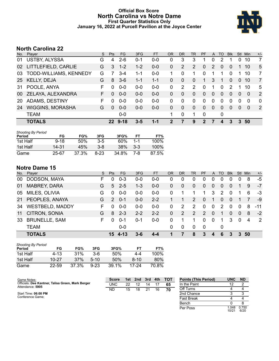# **Official Box Score North Carolina vs Notre Dame First Quarter Statistics Only January 16, 2022 at Purcell Pavilion at the Joyce Center**



# **North Carolina 22**

| No. | Plaver                  | S. | <b>Pts</b>   | <b>FG</b> | 3FG     | <b>FT</b> | <b>OR</b> | DR       | TR             | <b>PF</b> | A              | TO       | <b>Blk</b>    | Stl      | Min          | $+/-$          |
|-----|-------------------------|----|--------------|-----------|---------|-----------|-----------|----------|----------------|-----------|----------------|----------|---------------|----------|--------------|----------------|
| 01  | USTBY, ALYSSA           | G  | 4            | $2 - 6$   | 0-1     | $0 - 0$   | 0         | 3        | 3              |           |                | 2        |               | 0        | 10           | 7              |
| 02  | LITTLEFIELD, CARLIE     | G  | 3            | $1 - 2$   | $1 - 2$ | $0 - 0$   | 0         | 2        | 2              | 0         | 2              | $\Omega$ | $\Omega$      |          | 10           | 5              |
| 03  | TODD-WILLIAMS, KENNEDY  | G  |              | $3-4$     | $1 - 1$ | $0 - 0$   |           | $\Omega$ | 1              | 0         |                | 1        | $\Omega$      |          | 10           | 7              |
| 25  | KELLY, DEJA             | G  | 8            | $3-6$     | $1 - 1$ | $1 - 1$   | 0         | $\Omega$ | $\overline{0}$ | 1         | 3              | -1       | $\Omega$      | $\Omega$ | 10           | $\overline{7}$ |
| 31  | POOLE, ANYA             | F  | $\Omega$     | $0 - 0$   | $0 - 0$ | $0 - 0$   | 0         | 2        | 2              | $\Omega$  | 1              | $\Omega$ | $\mathcal{P}$ |          | 10           | 5              |
| 00  | ZELAYA, ALEXANDRA       | F. | 0            | $0 - 0$   | $0-0$   | $0 - 0$   | 0         | $\Omega$ | $\Omega$       | 0         | $\overline{0}$ | 0        | $\Omega$      | $\Omega$ | $\mathbf{0}$ | $\overline{2}$ |
| 20  | ADAMS, DESTINY          | F  | $\Omega$     | $0-0$     | $0-0$   | $0-0$     | 0         | $\Omega$ | 0              | 0         | $\mathbf 0$    | 0        | $\Omega$      | $\Omega$ | $\Omega$     | $\Omega$       |
| 24  | <b>WIGGINS, MORASHA</b> | G  | $\Omega$     | $0-0$     | $0 - 0$ | $0-0$     | 0         | $\Omega$ | $\Omega$       | 0         | $\Omega$       | 0        | $\Omega$      | $\Omega$ | $\Omega$     | 2              |
|     | <b>TEAM</b>             |    |              | $0-0$     |         |           |           | $\Omega$ | 1              | 0         |                | 0        |               |          |              |                |
|     | <b>TOTALS</b>           |    | $22^{\circ}$ | $9 - 18$  | 3-5     | 1-1       | 2         |          | 9              | 2         |                | 4        | 3             | 3        | 50           |                |

| <b>Shooting By Period</b><br>Period | FG       | FG%   | 3FG     | 3FG%  | FТ      | FT%   |
|-------------------------------------|----------|-------|---------|-------|---------|-------|
| 1st Half                            | $9 - 18$ | 50%   | $3-5$   | 60%   | $1 - 1$ | 100%  |
| 1st Half                            | 14-31    | 45%   | $3 - 8$ | 38%   | $3-3$   | 100%  |
| Game                                | 25-67    | 37.3% | 8-23    | 34.8% | 7-8     | 87.5% |

# **Notre Dame 15**

| No. | Player                 | S  | <b>Pts</b>    | <b>FG</b> | 3FG     | <b>FT</b> | <b>OR</b> | <b>DR</b> | <b>TR</b>    | <b>PF</b> | A              | TO       | <b>B</b> lk | Stl            | Min | $+/-$ |
|-----|------------------------|----|---------------|-----------|---------|-----------|-----------|-----------|--------------|-----------|----------------|----------|-------------|----------------|-----|-------|
| 00  | DODSON, MAYA           | F. | 0             | $0 - 3$   | $0 - 0$ | $0 - 0$   | 0         | 0         | 0            | 0         | 0              | 0        | 0           |                | 8   | $-5$  |
| 01  | <b>MABREY, DARA</b>    | G  | 5             | $2 - 5$   | $1 - 3$ | $0 - 0$   | 0         | 0         | $\mathbf{0}$ | $\Omega$  | 0              | 0        | 0           |                | 9   | $-7$  |
| 05  | MILES, OLIVIA          | G  | 0             | $0-0$     | $0 - 0$ | $0 - 0$   | 0         |           |              | 1         | 3              | 2        | $\Omega$    |                | 6   | -3    |
| 21  | PEOPLES, ANAYA         | G  | $\mathcal{P}$ | $0 - 1$   | $0 - 0$ | $2 - 2$   |           | 1         | 2            | $\Omega$  | -1             | $\Omega$ | $\Omega$    |                | 7   | -9    |
| 34  | <b>WESTBELD, MADDY</b> | F. | $\Omega$      | $0 - 0$   | $0 - 0$ | $0 - 0$   | 0         | 2         | 2            | $\Omega$  | $\mathbf 0$    | 2        | $\Omega$    | $\Omega$       | 8   | $-11$ |
| 11  | CITRON, SONIA          | G  | 8             | $2 - 3$   | $2 - 2$ | $2 - 2$   | 0         | 2         | 2            | 2         | $\overline{0}$ |          | 0           | $\overline{0}$ | 8   | $-2$  |
| 33  | <b>BRUNELLE, SAM</b>   | F. | $\Omega$      | $0 - 1$   | $0 - 1$ | $0 - 0$   | 0         |           |              | $\Omega$  | 0              |          | 3           | $\Omega$       | 4   | -2    |
|     | <b>TEAM</b>            |    |               | 0-0       |         |           | 0         | 0         | $\Omega$     | 0         |                | 0        |             |                |     |       |
|     | <b>TOTALS</b>          |    | 15            | $4 - 13$  | $3-6$   | 4-4       |           | 7         | 8            | 3         | 4              | 6        | 3           | $\mathbf{3}$   | -50 |       |

| <b>Shooting By Period</b><br>Period | FG        | FG%   | 3FG      | 3FG%  | FТ     | FT%   |
|-------------------------------------|-----------|-------|----------|-------|--------|-------|
| 1st Half                            | 4-13      | 31%   | 3-6      | 50%   | 4-4    | 100%  |
| 1st Half                            | $10 - 27$ | 37%   | $5-10$   | 50%   | $8-10$ | 80%   |
| Game                                | $22 - 59$ | 37.3% | $9 - 23$ | 39.1% | 17-24  | 70.8% |

| Game Notes:                                                           | <b>Score</b> | 1st. | 2nd | 3rd | 4th | <b>TOT</b> | <b>Points (This Period)</b> | <b>UNC</b>     | <b>ND</b>     |
|-----------------------------------------------------------------------|--------------|------|-----|-----|-----|------------|-----------------------------|----------------|---------------|
| Officials: Dee Kantner, Talisa Green, Mark Berger<br>Attendance: 5905 | <b>UNC</b>   | 22   |     | 14  |     | 65         | In the Paint                |                |               |
|                                                                       | ND           | 15   | 18  | 21  | 16  | 70         | Off Turns                   |                |               |
| Start Time: 06:00 PM                                                  |              |      |     |     |     |            | 2nd Chance                  |                |               |
| Conference Game;                                                      |              |      |     |     |     |            | Fast Break                  |                |               |
|                                                                       |              |      |     |     |     |            | Bench                       |                |               |
|                                                                       |              |      |     |     |     |            | Per Poss                    | 1.048<br>10/21 | 0.750<br>6/20 |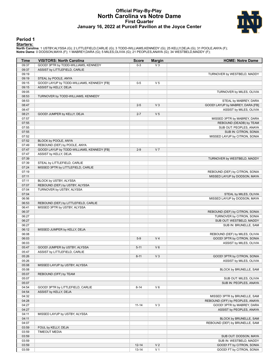## **Official Play-By-Play North Carolina vs Notre Dame First Quarter January 16, 2022 at Purcell Pavilion at the Joyce Center**



#### **Period 1**

#### **Starters:**

North Carolina: 1 USTBY,ALYSSA (G); 2 LITTLEFIELD,CARLIE (G); 3 TODD-WILLIAMS,KENNEDY (G); 25 KELLY,DEJA (G); 31 POOLE,ANYA (F);<br>Notre Dame: 0 DODSON,MAYA (F); 1 MABREY,DARA (G); 5 MILES,OLIVIA (G); 21 PEOPLES,ANAYA (G); 3

| Time           | <b>VISITORS: North Carolina</b>            | <b>Score</b> | <b>Margin</b>  | <b>HOME: Notre Dame</b>                          |
|----------------|--------------------------------------------|--------------|----------------|--------------------------------------------------|
| 09:37          | GOOD! 3PTR by TODD-WILLIAMS, KENNEDY       | $0-3$        | $V_3$          |                                                  |
| 09:37          | ASSIST by LITTLEFIELD, CARLIE              |              |                |                                                  |
| 09:19          |                                            |              |                | TURNOVER by WESTBELD, MADDY                      |
| 09:19          | STEAL by POOLE, ANYA                       |              |                |                                                  |
| 09:15          | GOOD! LAYUP by TODD-WILLIAMS, KENNEDY [FB] | $0-5$        | V <sub>5</sub> |                                                  |
| 09:15          | ASSIST by KELLY, DEJA                      |              |                |                                                  |
| 09:05          |                                            |              |                | TURNOVER by MILES, OLIVIA                        |
| 08:53          | TURNOVER by TODD-WILLIAMS, KENNEDY         |              |                |                                                  |
| 08:53          |                                            |              |                | STEAL by MABREY, DARA                            |
| 08:47          |                                            | $2 - 5$      | $V_3$          | GOOD! LAYUP by MABREY, DARA [FB]                 |
| 08:47          |                                            |              |                | ASSIST by MILES, OLIVIA                          |
| 08:21          | GOOD! JUMPER by KELLY, DEJA                | $2 - 7$      | V <sub>5</sub> |                                                  |
| 07:57          |                                            |              |                | MISSED 3PTR by MABREY, DARA                      |
| 07:55<br>07:55 |                                            |              |                | REBOUND (DEADB) by TEAM                          |
| 07:55          |                                            |              |                | SUB OUT: PEOPLES, ANAYA<br>SUB IN: CITRON, SONIA |
| 07:52          |                                            |              |                | MISSED LAYUP by CITRON, SONIA                    |
| 07:52          | BLOCK by POOLE, ANYA                       |              |                |                                                  |
| 07:49          | REBOUND (DEF) by POOLE, ANYA               |              |                |                                                  |
| 07:47          | GOOD! LAYUP by TODD-WILLIAMS, KENNEDY [FB] | $2-9$        | V <sub>7</sub> |                                                  |
| 07:47          | ASSIST by KELLY, DEJA                      |              |                |                                                  |
| 07:39          |                                            |              |                | TURNOVER by WESTBELD, MADDY                      |
| 07:39          | STEAL by LITTLEFIELD, CARLIE               |              |                |                                                  |
| 07:24          | MISSED 3PTR by LITTLEFIELD, CARLIE         |              |                |                                                  |
| 07:19          |                                            |              |                | REBOUND (DEF) by CITRON, SONIA                   |
| 07:11          |                                            |              |                | MISSED LAYUP by DODSON, MAYA                     |
| 07:11          | BLOCK by USTBY, ALYSSA                     |              |                |                                                  |
| 07:07          | REBOUND (DEF) by USTBY, ALYSSA             |              |                |                                                  |
| 07:04          | TURNOVER by USTBY, ALYSSA                  |              |                |                                                  |
| 07:04          |                                            |              |                | STEAL by MILES, OLIVIA                           |
| 06:56          |                                            |              |                | MISSED LAYUP by DODSON, MAYA                     |
| 06:53          | REBOUND (DEF) by LITTLEFIELD, CARLIE       |              |                |                                                  |
| 06:41          | MISSED 3PTR by USTBY, ALYSSA               |              |                |                                                  |
| 06:37          |                                            |              |                | REBOUND (DEF) by CITRON, SONIA                   |
| 06:27          |                                            |              |                | TURNOVER by CITRON, SONIA                        |
| 06:27          |                                            |              |                | SUB OUT: WESTBELD, MADDY                         |
| 06:27          |                                            |              |                | SUB IN: BRUNELLE, SAM                            |
| 06:12          | MISSED JUMPER by KELLY, DEJA               |              |                |                                                  |
| 06:08          |                                            |              |                | REBOUND (DEF) by MILES, OLIVIA                   |
| 06:03          |                                            | $5-9$        | V <sub>4</sub> | GOOD! 3PTR by CITRON, SONIA                      |
| 06:03<br>05:47 | GOOD! JUMPER by USTBY, ALYSSA              | $5 - 11$     | $V_6$          | ASSIST by MILES, OLIVIA                          |
| 05:47          | ASSIST by LITTLEFIELD, CARLIE              |              |                |                                                  |
| 05:26          |                                            | $8 - 11$     | V <sub>3</sub> | GOOD! 3PTR by CITRON, SONIA                      |
| 05:26          |                                            |              |                | ASSIST by MILES, OLIVIA                          |
| 05:08          | MISSED LAYUP by USTBY, ALYSSA              |              |                |                                                  |
| 05:08          |                                            |              |                | BLOCK by BRUNELLE, SAM                           |
| 05:07          | REBOUND (OFF) by TEAM                      |              |                |                                                  |
| 05:07          |                                            |              |                | SUB OUT: MILES, OLIVIA                           |
| 05:07          |                                            |              |                | SUB IN: PEOPLES, ANAYA                           |
| 04:54          | GOOD! 3PTR by LITTLEFIELD, CARLIE          | $8 - 14$     | $V_6$          |                                                  |
| 04:54          | ASSIST by KELLY, DEJA                      |              |                |                                                  |
| 04:32          |                                            |              |                | MISSED 3PTR by BRUNELLE, SAM                     |
| 04:28          |                                            |              |                | REBOUND (OFF) by PEOPLES, ANAYA                  |
| 04:27          |                                            | $11 - 14$    | $V_3$          | GOOD! 3PTR by MABREY, DARA                       |
| 04:27          |                                            |              |                | ASSIST by PEOPLES, ANAYA                         |
| 04:11          | MISSED LAYUP by USTBY, ALYSSA              |              |                |                                                  |
| 04:11          |                                            |              |                | BLOCK by BRUNELLE, SAM                           |
| 04:07          |                                            |              |                | REBOUND (DEF) by BRUNELLE, SAM                   |
| 03:59          | FOUL by KELLY, DEJA                        |              |                |                                                  |
| 03:59          | <b>TIMEOUT MEDIA</b>                       |              |                |                                                  |
| 03:59          |                                            |              |                | SUB OUT: DODSON, MAYA                            |
| 03:59          |                                            |              |                | SUB IN: WESTBELD, MADDY                          |
| 03:59          |                                            | $12 - 14$    | V <sub>2</sub> | GOOD! FT by CITRON, SONIA                        |
| 03:59          |                                            | $13 - 14$    | V <sub>1</sub> | GOOD! FT by CITRON, SONIA                        |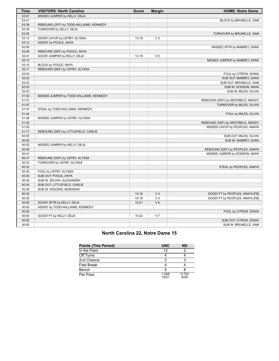| <b>Time</b> | <b>VISITORS: North Carolina</b>         | <b>Score</b> | <b>Margin</b>  | <b>HOME: Notre Dame</b>          |
|-------------|-----------------------------------------|--------------|----------------|----------------------------------|
| 03:41       | MISSED JUMPER by KELLY, DEJA            |              |                |                                  |
| 03:41       |                                         |              |                | BLOCK by BRUNELLE, SAM           |
| 03:38       | REBOUND (OFF) by TODD-WILLIAMS, KENNEDY |              |                |                                  |
| 03:35       | TURNOVER by KELLY, DEJA                 |              |                |                                  |
| 03:25       |                                         |              |                | TURNOVER by BRUNELLE, SAM        |
| 03:12       | GOOD! LAYUP by USTBY, ALYSSA            | $13 - 16$    | V <sub>3</sub> |                                  |
| 03:12       | ASSIST by POOLE, ANYA                   |              |                |                                  |
| 02:50       |                                         |              |                | MISSED 3PTR by MABREY, DARA      |
| 02:46       | REBOUND (DEF) by POOLE, ANYA            |              |                |                                  |
| 02:41       | GOOD! JUMPER by KELLY, DEJA             | $13 - 18$    | V <sub>5</sub> |                                  |
| 02:15       |                                         |              |                | MISSED JUMPER by MABREY, DARA    |
| 02:15       | BLOCK by POOLE, ANYA                    |              |                |                                  |
| 02:11       | REBOUND (DEF) by USTBY, ALYSSA          |              |                |                                  |
| 02:03       |                                         |              |                | FOUL by CITRON, SONIA            |
| 02:03       |                                         |              |                | SUB OUT: MABREY, DARA            |
| 02:03       |                                         |              |                | SUB OUT: BRUNELLE, SAM           |
| 02:03       |                                         |              |                | SUB IN: DODSON, MAYA             |
| 02:03       |                                         |              |                | SUB IN: MILES, OLIVIA            |
| 01:53       | MISSED JUMPER by TODD-WILLIAMS, KENNEDY |              |                |                                  |
| 01:51       |                                         |              |                | REBOUND (DEF) by WESTBELD, MADDY |
| 01:47       |                                         |              |                | TURNOVER by MILES, OLIVIA        |
| 01:47       | STEAL by TODD-WILLIAMS, KENNEDY         |              |                |                                  |
| 01:44       |                                         |              |                | FOUL by MILES, OLIVIA            |
| 01:28       | MISSED JUMPER by USTBY, ALYSSA          |              |                |                                  |
| 01:25       |                                         |              |                | REBOUND (DEF) by WESTBELD, MADDY |
| 01:20       |                                         |              |                | MISSED LAYUP by PEOPLES, ANAYA   |
| 01:17       | REBOUND (DEF) by LITTLEFIELD, CARLIE    |              |                |                                  |
| 00:55       |                                         |              |                | SUB OUT: MILES, OLIVIA           |
| 00:55       |                                         |              |                | SUB IN: MABREY, DARA             |
| 00:52       | MISSED JUMPER by KELLY, DEJA            |              |                |                                  |
| 00:49       |                                         |              |                | REBOUND (DEF) by PEOPLES, ANAYA  |
| 00:41       |                                         |              |                | MISSED JUMPER by DODSON, MAYA    |
| 00:37       | REBOUND (DEF) by USTBY, ALYSSA          |              |                |                                  |
| 00:33       | TURNOVER by USTBY, ALYSSA               |              |                |                                  |
| 00:33       |                                         |              |                | STEAL by PEOPLES, ANAYA          |
| 00:30       | FOUL by USTBY, ALYSSA                   |              |                |                                  |
| 00:30       | SUB OUT: POOLE, ANYA                    |              |                |                                  |
| 00:30       | SUB IN: ZELAYA, ALEXANDRA               |              |                |                                  |
| 00:30       | SUB OUT: LITTLEFIELD, CARLIE            |              |                |                                  |
| 00:30       | SUB IN: WIGGINS, MORASHA                |              |                |                                  |
| 00:30       |                                         | $14 - 18$    | V <sub>4</sub> | GOOD! FT by PEOPLES, ANAYA [FB]  |
| 00:30       |                                         | $15 - 18$    | V <sub>3</sub> | GOOD! FT by PEOPLES, ANAYA [FB]  |
| 00:00       | GOOD! 3PTR by KELLY, DEJA               | $15 - 21$    | $V_6$          |                                  |
| 00:00       | ASSIST by TODD-WILLIAMS, KENNEDY        |              |                |                                  |
| 00:00       |                                         |              |                | FOUL by CITRON, SONIA            |
| 00:00       | GOOD! FT by KELLY, DEJA                 | $15 - 22$    | V <sub>7</sub> |                                  |
| 00:00       |                                         |              |                | SUB OUT: CITRON, SONIA           |
| 00:00       |                                         |              |                | SUB IN: BRUNELLE, SAM            |

# **North Carolina 22, Notre Dame 15**

| <b>Points (This Period)</b> | <b>UNC</b>     | <b>ND</b>     |
|-----------------------------|----------------|---------------|
| In the Paint                | 12             |               |
| Off Turns                   |                |               |
| 2nd Chance                  |                |               |
| <b>Fast Break</b>           |                |               |
| Bench                       |                |               |
| Per Poss                    | 1.048<br>10/21 | 0.750<br>6/20 |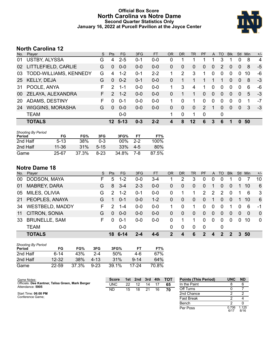# **Official Box Score North Carolina vs Notre Dame Second Quarter Statistics Only January 16, 2022 at Purcell Pavilion at the Joyce Center**



# **North Carolina 12**

| No. | Plaver                  | S. | <b>Pts</b>    | <b>FG</b> | 3FG     | <b>FT</b> | 0R | DR       | TR             | <b>PF</b>     | A           | TO       | <b>B</b> lk | Stl      | <b>Min</b> | $+/-$ |
|-----|-------------------------|----|---------------|-----------|---------|-----------|----|----------|----------------|---------------|-------------|----------|-------------|----------|------------|-------|
| 01  | <b>USTBY, ALYSSA</b>    | G  | 4             | $2 - 5$   | 0-1     | $0 - 0$   | 0  | 1        |                |               |             | 3        | 1           | 0        | 8          | 4     |
| 02  | LITTLEFIELD, CARLIE     | G  | $\Omega$      | $0 - 0$   | $0 - 0$ | $0-0$     | 0  | $\Omega$ | $\overline{0}$ | 0             | 0           | 2        | $\Omega$    | $\Omega$ | 8          | -5    |
| 03  | TODD-WILLIAMS, KENNEDY  | G  | 4             | $1 - 2$   | 0-1     | $2 - 2$   |    | 2        | 3              | 1             | $\Omega$    | 0        | $\Omega$    | $\Omega$ | 10         | -6    |
| 25  | <b>KELLY, DEJA</b>      | G  | $\Omega$      | $0 - 2$   | $0 - 1$ | $0 - 0$   | 0  |          |                |               |             |          | $\Omega$    | $\Omega$ | 8          | -3    |
| -31 | POOLE, ANYA             | F  | 2             | $1 - 1$   | $0 - 0$ | $0 - 0$   | 1  | 3        | 4              | 1             | $\mathbf 0$ | 0        | $\Omega$    | $\Omega$ | 6          | -6    |
| 00  | ZELAYA, ALEXANDRA       | F. | $\mathcal{P}$ | $1 - 2$   | $0 - 0$ | $0 - 0$   | 0  |          |                | 0             | $\Omega$    | 0        | $\Omega$    | $\Omega$ | 5          | -3    |
| 20  | ADAMS, DESTINY          | F  | <sup>0</sup>  | $0 - 1$   | $0-0$   | $0 - 0$   |    | $\Omega$ | 1              | 0             | $\Omega$    | $\Omega$ | 0           | $\Omega$ |            | $-7$  |
| 24  | <b>WIGGINS, MORASHA</b> | G  | $\Omega$      | $0 - 0$   | $0 - 0$ | $0-0$     | 0  | $\Omega$ | $\mathbf{0}$   | $\mathcal{P}$ |             | $\Omega$ | $\Omega$    | $\Omega$ | 3          | $-3$  |
|     | <b>TEAM</b>             |    |               | $0-0$     |         |           |    | $\Omega$ | 1              | 0             |             | 0        |             |          |            |       |
|     | <b>TOTALS</b>           |    | $12-$         | $5 - 13$  | $0 - 3$ | $2 - 2$   |    | 8        | 12             | 6             | 3           | 6        |             |          | 50         |       |

| <b>Shooting By Period</b><br>Period | FG        | FG%   | 3FG      | 3FG%   | FT    | FT%   |
|-------------------------------------|-----------|-------|----------|--------|-------|-------|
| 2nd Half                            | $5-13$    | 38%   | 0-3      | $00\%$ | $2-2$ | 100%  |
| 2nd Half                            | $11 - 36$ | 31%   | $5 - 15$ | 33%    | $4-5$ | 80%   |
| Game                                | 25-67     | 37.3% | 8-23     | 34.8%  | 7-8   | 87.5% |

# **Notre Dame 18**

| No. | Player                 | S  | <b>Pts</b> | FG      | 3FG     | FT      | <b>OR</b> | <b>DR</b> | <b>TR</b>    | <b>PF</b>      | $\mathsf{A}$   | TO               | <b>B</b> lk | Stl      | Min            | $+/-$    |
|-----|------------------------|----|------------|---------|---------|---------|-----------|-----------|--------------|----------------|----------------|------------------|-------------|----------|----------------|----------|
| 00  | DODSON, MAYA           | F. | 5          | $1 - 2$ | $0 - 0$ | 3-4     |           | 2         | 3            | 0              | 0              | 0                |             |          |                | 10       |
| 01  | <b>MABREY, DARA</b>    | G  | 8          | $3 - 4$ | $2 - 3$ | $0 - 0$ | 0         | 0         | $\mathbf{0}$ | 0              |                | 0                | 0           |          | 10             | 6        |
| 05  | MILES, OLIVIA          | G  | 2          | $1 - 2$ | $0 - 1$ | 0-0     | 0         | 1         |              | 2              | 2              | 2                | $\Omega$    |          | 6              | -3       |
| 21  | PEOPLES, ANAYA         | G  | 1          | $0 - 1$ | $0 - 0$ | $1 - 2$ | 0         | 0         | 0            | $\Omega$       | $\overline{1}$ | $\Omega$         | $\Omega$    |          | 10             | -6       |
| 34  | <b>WESTBELD, MADDY</b> | F. | 2          | $1 - 4$ | $0 - 0$ | $0 - 0$ |           | 0         |              | $\Omega$       | 0              | $\Omega$         | 1           | $\Omega$ | 6              | -1       |
| 11  | CITRON, SONIA          | G  | $\Omega$   | $0 - 0$ | $0 - 0$ | $0 - 0$ | 0         | 0         | $\Omega$     | $\overline{0}$ | $\overline{0}$ | 0                | $\Omega$    | $\Omega$ | $\overline{0}$ | $\Omega$ |
| 33  | <b>BRUNELLE, SAM</b>   | F. | $\Omega$   | $0 - 1$ | $0 - 0$ | $0 - 0$ | 0         |           |              | $\Omega$       | $\mathbf 0$    | 0                | 0           | $\Omega$ | 10             | 0        |
|     | <b>TEAM</b>            |    |            | 0-0     |         |         | 0         | 0         | $\Omega$     | 0              |                | 0                |             |          |                |          |
|     | <b>TOTALS</b>          |    |            | 18 6-14 | 2-4     | $4 - 6$ | 2         | 4         | 6            | $\mathcal{P}$  | 4              | $\boldsymbol{P}$ | 2           | 3        | -50            |          |

| <b>Shooting By Period</b><br>Period | FG    | FG%   | 3FG      | 3FG%  | FТ       | FT%   |
|-------------------------------------|-------|-------|----------|-------|----------|-------|
| 2nd Half                            | ճ-14  | 43%   | $2 - 4$  | 50%   | 4-6      | 67%   |
| 2nd Half                            | 12-32 | 38%   | 4-13     | 31%   | $9 - 14$ | 64%   |
| Game                                | 22-59 | 37.3% | $9 - 23$ | 39.1% | 17-24    | 70.8% |

| Game Notes:                                                           | <b>Score</b> | 1st | 2nd | 3rd | 4th | <b>TOT</b> | <b>Points (This Period)</b> | <b>UNC</b>    | <b>ND</b>     |
|-----------------------------------------------------------------------|--------------|-----|-----|-----|-----|------------|-----------------------------|---------------|---------------|
| Officials: Dee Kantner, Talisa Green, Mark Berger<br>Attendance: 5905 | <b>UNC</b>   | 22  |     | 14  |     | 65         | In the Paint                |               |               |
|                                                                       | ND           | 15  | 18  | 21  | 16  | 70         | Off Turns                   |               |               |
| Start Time: 06:00 PM                                                  |              |     |     |     |     |            | 2nd Chance                  |               |               |
| Conference Game:                                                      |              |     |     |     |     |            | Fast Break                  |               |               |
|                                                                       |              |     |     |     |     |            | Bench                       |               |               |
|                                                                       |              |     |     |     |     |            | Per Poss                    | 0.706<br>6/17 | 1.125<br>8/16 |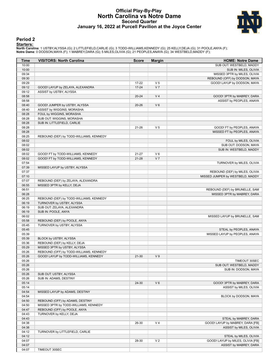# **Official Play-By-Play North Carolina vs Notre Dame Second Quarter January 16, 2022 at Purcell Pavilion at the Joyce Center**



## **Period 2**

#### **Starters:**

North Carolina: 1 USTBY,ALYSSA (G); 2 LITTLEFIELD,CARLIE (G); 3 TODD-WILLIAMS,KENNEDY (G); 25 KELLY,DEJA (G); 31 POOLE,ANYA (F);<br>Notre Dame: 0 DODSON,MAYA (F); 1 MABREY,DARA (G); 5 MILES,OLIVIA (G); 21 PEOPLES,ANAYA (G); 3

| <b>Time</b> | <b>VISITORS: North Carolina</b>         | <b>Score</b> | <b>Margin</b>  | <b>HOME: Notre Dame</b>           |
|-------------|-----------------------------------------|--------------|----------------|-----------------------------------|
| 10:00       |                                         |              |                | SUB OUT: WESTBELD, MADDY          |
| 10:00       |                                         |              |                | SUB IN: MILES, OLIVIA             |
| 09:34       |                                         |              |                | MISSED 3PTR by MILES, OLIVIA      |
| 09:30       |                                         |              |                | REBOUND (OFF) by DODSON, MAYA     |
| 09:29       |                                         | 17-22        | V <sub>5</sub> | GOOD! LAYUP by DODSON, MAYA       |
| 09:12       | GOOD! LAYUP by ZELAYA, ALEXANDRA        | $17 - 24$    | V <sub>7</sub> |                                   |
| 09:12       | ASSIST by USTBY, ALYSSA                 |              |                |                                   |
| 08:58       |                                         | $20 - 24$    | V <sub>4</sub> | GOOD! 3PTR by MABREY, DARA        |
| 08:58       |                                         |              |                | ASSIST by PEOPLES, ANAYA          |
| 08:40       | GOOD! JUMPER by USTBY, ALYSSA           | $20 - 26$    | V <sub>6</sub> |                                   |
| 08:40       | ASSIST by WIGGINS, MORASHA              |              |                |                                   |
| 08:28       | FOUL by WIGGINS, MORASHA                |              |                |                                   |
| 08:28       | SUB OUT: WIGGINS, MORASHA               |              |                |                                   |
| 08:28       | SUB IN: LITTLEFIELD, CARLIE             |              |                |                                   |
| 08:28       |                                         | $21 - 26$    | V <sub>5</sub> | GOOD! FT by PEOPLES, ANAYA        |
| 08:28       |                                         |              |                | MISSED FT by PEOPLES, ANAYA       |
| 08:25       | REBOUND (DEF) by TODD-WILLIAMS, KENNEDY |              |                |                                   |
| 08:02       |                                         |              |                | FOUL by MILES, OLIVIA             |
| 08:02       |                                         |              |                | SUB OUT: DODSON, MAYA             |
| 08:02       |                                         |              |                | SUB IN: WESTBELD, MADDY           |
| 08:02       | GOOD! FT by TODD-WILLIAMS, KENNEDY      | $21 - 27$    | $V_6$          |                                   |
| 08:02       | GOOD! FT by TODD-WILLIAMS, KENNEDY      | $21 - 28$    | V <sub>7</sub> |                                   |
| 07:54       |                                         |              |                | TURNOVER by MILES, OLIVIA         |
| 07:39       | MISSED LAYUP by USTBY, ALYSSA           |              |                |                                   |
| 07:37       |                                         |              |                |                                   |
|             |                                         |              |                | REBOUND (DEF) by MILES, OLIVIA    |
| 07:10       |                                         |              |                | MISSED JUMPER by WESTBELD, MADDY  |
| 07:07       | REBOUND (DEF) by ZELAYA, ALEXANDRA      |              |                |                                   |
| 06:55       | MISSED 3PTR by KELLY, DEJA              |              |                |                                   |
| 06:51       |                                         |              |                | REBOUND (DEF) by BRUNELLE, SAM    |
| 06:28       |                                         |              |                | MISSED 3PTR by MABREY, DARA       |
| 06:25       | REBOUND (DEF) by TODD-WILLIAMS, KENNEDY |              |                |                                   |
| 06:19       | TURNOVER by USTBY, ALYSSA               |              |                |                                   |
| 06:19       | SUB OUT: ZELAYA, ALEXANDRA              |              |                |                                   |
| 06:19       | SUB IN: POOLE, ANYA                     |              |                |                                   |
| 06:02       |                                         |              |                | MISSED LAYUP by BRUNELLE, SAM     |
| 05:58       | REBOUND (DEF) by POOLE, ANYA            |              |                |                                   |
| 05:45       | TURNOVER by USTBY, ALYSSA               |              |                |                                   |
| 05:45       |                                         |              |                | STEAL by PEOPLES, ANAYA           |
| 05:39       |                                         |              |                | MISSED LAYUP by PEOPLES, ANAYA    |
| 05:39       | BLOCK by USTBY, ALYSSA                  |              |                |                                   |
| 05:36       | REBOUND (DEF) by KELLY, DEJA            |              |                |                                   |
| 05:29       | MISSED 3PTR by USTBY, ALYSSA            |              |                |                                   |
| 05:26       | REBOUND (OFF) by TODD-WILLIAMS, KENNEDY |              |                |                                   |
| 05:26       | GOOD! LAYUP by TODD-WILLIAMS, KENNEDY   | $21 - 30$    | V <sub>9</sub> |                                   |
| 05:26       |                                         |              |                | TIMEOUT 30SEC                     |
| 05:26       |                                         |              |                | SUB OUT: WESTBELD, MADDY          |
| 05:26       |                                         |              |                | SUB IN: DODSON, MAYA              |
| 05:26       | SUB OUT: USTBY, ALYSSA                  |              |                |                                   |
| 05:26       | SUB IN: ADAMS, DESTINY                  |              |                |                                   |
| 05:14       |                                         | 24-30        | $V_6$          | GOOD! 3PTR by MABREY, DARA        |
| 05:14       |                                         |              |                | ASSIST by MILES, OLIVIA           |
| 04:54       | MISSED LAYUP by ADAMS, DESTINY          |              |                |                                   |
| 04:54       |                                         |              |                | BLOCK by DODSON, MAYA             |
| 04:50       | REBOUND (OFF) by ADAMS, DESTINY         |              |                |                                   |
| 04:50       | MISSED 3PTR by TODD-WILLIAMS, KENNEDY   |              |                |                                   |
| 04:47       | REBOUND (OFF) by POOLE, ANYA            |              |                |                                   |
| 04:43       |                                         |              |                |                                   |
|             | TURNOVER by KELLY, DEJA                 |              |                |                                   |
| 04:43       |                                         |              |                | STEAL by MABREY, DARA             |
| 04:38       |                                         | 26-30        | V <sub>4</sub> | GOOD! LAYUP by MABREY, DARA [FB]  |
| 04:38       |                                         |              |                | ASSIST by MILES, OLIVIA           |
| 04:12       | TURNOVER by LITTLEFIELD, CARLIE         |              |                |                                   |
| 04:12       |                                         |              |                | STEAL by MILES, OLIVIA            |
| 04:07       |                                         | 28-30        | V <sub>2</sub> | GOOD! LAYUP by MILES, OLIVIA [FB] |
| 04:07       |                                         |              |                | ASSIST by MABREY, DARA            |
| 04:07       | TIMEOUT 30SEC                           |              |                |                                   |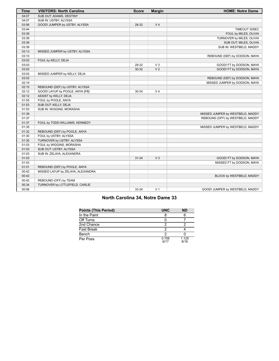| <b>Time</b> | <b>VISITORS: North Carolina</b>   | <b>Score</b> | <b>Margin</b>  | <b>HOME: Notre Dame</b>          |
|-------------|-----------------------------------|--------------|----------------|----------------------------------|
| 04:07       | SUB OUT: ADAMS, DESTINY           |              |                |                                  |
| 04:07       | SUB IN: USTBY, ALYSSA             |              |                |                                  |
| 03:56       | GOOD! JUMPER by USTBY, ALYSSA     | 28-32        | V <sub>4</sub> |                                  |
| 03:44       |                                   |              |                | TIMEOUT 30SEC                    |
| 03:39       |                                   |              |                | FOUL by MILES, OLIVIA            |
| 03:39       |                                   |              |                | TURNOVER by MILES, OLIVIA        |
| 03:39       |                                   |              |                | SUB OUT: MILES, OLIVIA           |
| 03:39       |                                   |              |                | SUB IN: WESTBELD, MADDY          |
| 03:13       | MISSED JUMPER by USTBY, ALYSSA    |              |                |                                  |
| 03:10       |                                   |              |                | REBOUND (DEF) by DODSON, MAYA    |
| 03:03       | FOUL by KELLY, DEJA               |              |                |                                  |
| 03:03       |                                   | 29-32        | $V_3$          | GOOD! FT by DODSON, MAYA         |
| 03:03       |                                   | 30-32        | V <sub>2</sub> | GOOD! FT by DODSON, MAYA         |
| 03:03       | MISSED JUMPER by KELLY, DEJA      |              |                |                                  |
| 03:03       |                                   |              |                | REBOUND (DEF) by DODSON, MAYA    |
| 02:19       |                                   |              |                | MISSED JUMPER by DODSON, MAYA    |
| 02:15       | REBOUND (DEF) by USTBY, ALYSSA    |              |                |                                  |
| 02:12       | GOOD! LAYUP by POOLE, ANYA [FB]   | $30 - 34$    | V <sub>4</sub> |                                  |
| 02:12       | ASSIST by KELLY, DEJA             |              |                |                                  |
| 01:55       | FOUL by POOLE, ANYA               |              |                |                                  |
| 01:53       | SUB OUT: KELLY, DEJA              |              |                |                                  |
| 01:53       | SUB IN: WIGGINS, MORASHA          |              |                |                                  |
| 01:39       |                                   |              |                | MISSED JUMPER by WESTBELD, MADDY |
| 01:37       |                                   |              |                | REBOUND (OFF) by WESTBELD, MADDY |
| 01:37       | FOUL by TODD-WILLIAMS, KENNEDY    |              |                |                                  |
| 01:35       |                                   |              |                | MISSED JUMPER by WESTBELD, MADDY |
| 01:32       | REBOUND (DEF) by POOLE, ANYA      |              |                |                                  |
| 01:30       | FOUL by USTBY, ALYSSA             |              |                |                                  |
| 01:30       | TURNOVER by USTBY, ALYSSA         |              |                |                                  |
| 01:03       | FOUL by WIGGINS, MORASHA          |              |                |                                  |
| 01:03       | SUB OUT: USTBY, ALYSSA            |              |                |                                  |
| 01:03       | SUB IN: ZELAYA, ALEXANDRA         |              |                |                                  |
| 01:03       |                                   | $31 - 34$    | V <sub>3</sub> | GOOD! FT by DODSON, MAYA         |
| 01:03       |                                   |              |                | MISSED FT by DODSON, MAYA        |
| 01:01       | REBOUND (DEF) by POOLE, ANYA      |              |                |                                  |
| 00:42       | MISSED LAYUP by ZELAYA, ALEXANDRA |              |                |                                  |
| 00:42       |                                   |              |                | BLOCK by WESTBELD, MADDY         |
| 00:42       | REBOUND (OFF) by TEAM             |              |                |                                  |
| 00:34       | TURNOVER by LITTLEFIELD, CARLIE   |              |                |                                  |
| 00:06       |                                   | 33-34        | V <sub>1</sub> | GOOD! JUMPER by WESTBELD, MADDY  |

# **North Carolina 34, Notre Dame 33**

| <b>Points (This Period)</b> | <b>UNC</b>    | <b>ND</b>     |
|-----------------------------|---------------|---------------|
| In the Paint                |               |               |
| Off Turns                   |               |               |
| 2nd Chance                  |               |               |
| <b>Fast Break</b>           |               |               |
| Bench                       |               |               |
| Per Poss                    | 0.706<br>6/17 | 1.125<br>8/16 |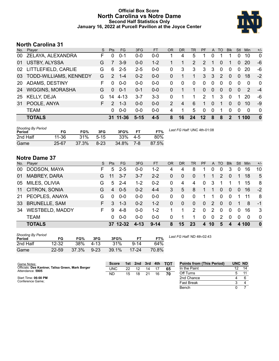# **Official Box Score North Carolina vs Notre Dame Second Half Statistics Only January 16, 2022 at Purcell Pavilion at the Joyce Center**



# **North Carolina 31**

| No.       | Plaver                        | S  | <b>Pts</b>    | <b>FG</b> | 3FG      | <b>FT</b> | 0R       | <b>DR</b> | <b>TR</b> | <b>PF</b>     | A              | TO            | <b>B</b> lk    | Stl            | Min           | $+/-$        |
|-----------|-------------------------------|----|---------------|-----------|----------|-----------|----------|-----------|-----------|---------------|----------------|---------------|----------------|----------------|---------------|--------------|
| 00        | ZELAYA, ALEXANDRA             | F  | 0             | $0 - 1$   | $0 - 0$  | $0 - 0$   |          | 4         | 5         | 1             | 0              |               |                | 0              | 10            | $\mathbf{0}$ |
| 01        | <b>USTBY, ALYSSA</b>          | G  | 7             | $3-9$     | $0 - 0$  | $1 - 2$   |          |           | 2         | 2             |                | 0             |                | 0              | 20            | -6           |
| 02        | LITTLEFIELD, CARLIE           | G  | 6             | $2 - 5$   | $2 - 5$  | $0 - 0$   | 0        | 3         | 3         | 3             | 3              | $\Omega$      | $\Omega$       | 0              | 20            | -6           |
| 03        | <b>TODD-WILLIAMS, KENNEDY</b> | G  | $\mathcal{P}$ | $1 - 4$   | $0 - 2$  | $0 - 0$   | 0        |           | 1         | 3             | 3              | $\mathcal{P}$ | $\Omega$       | $\Omega$       | 18            | $-2$         |
| <b>20</b> | ADAMS, DESTINY                | F  | $\Omega$      | $0 - 0$   | $0 - 0$  | $0 - 0$   | $\Omega$ | 0         | $\Omega$  | $\Omega$      | $\mathbf{0}$   | $\Omega$      | $\Omega$       | $\Omega$       | $\Omega$      | $\Omega$     |
| 24        | <b>WIGGINS, MORASHA</b>       | G  | $\Omega$      | $0 - 1$   | $0 - 1$  | $0 - 0$   | 0        | 1         |           | $\Omega$      | $\overline{0}$ | 0             | $\overline{0}$ | $\overline{0}$ | $\mathcal{P}$ | $-4$         |
| 25        | <b>KELLY, DEJA</b>            | G  | 14            | $4 - 13$  | $3 - 7$  | $3-3$     | 0        | 1         | 1         | $\mathcal{P}$ | 1              | 3             | $\Omega$       |                | 20            | -6           |
| 31        | POOLE, ANYA                   | F. | $\mathcal{P}$ | $1 - 3$   | $0-0$    | $0 - 0$   | 2        | 4         | 6         | 1             | 0              | 1             | 0              | 0              | 10            | -9           |
|           | <b>TEAM</b>                   |    | $\Omega$      | $0 - 0$   | $0 - 0$  | $0-0$     | 4        | 1         | 5.        | $\Omega$      | $\mathbf{0}$   | 1             | $\Omega$       | $\Omega$       | $\Omega$      | $\Omega$     |
|           | <b>TOTALS</b>                 |    | 31            | -11-36    | $5 - 15$ | $4 - 5$   | 8        | 16        | 24        | $12 \,$       | 8              | 8             | $\mathcal{P}$  |                | 100           | $\bf{0}$     |

| <b>Shooting By Period</b><br>Period | FG        | FG%   | 3FG      | 3FG%  | FТ      | FT%   | Last FG Half: UNC 4th-01:08 |
|-------------------------------------|-----------|-------|----------|-------|---------|-------|-----------------------------|
| 2nd Half                            | 11-36     | 31%   | $5-15$   | 33%   | $4 - 5$ | 80%   |                             |
| Game                                | $25 - 67$ | 37.3% | $8 - 23$ | 34.8% | 7-8     | 87.5% |                             |

# **Notre Dame 37**

| No. | Player                 | S. | <b>Pts</b> | <b>FG</b> | 3FG      | FT.      | <b>OR</b> | <b>DR</b>      | TR.            | <b>PF</b>    |          | A TO          | <b>BIK</b>   | Stl      | <b>Min</b> | $+/-$        |
|-----|------------------------|----|------------|-----------|----------|----------|-----------|----------------|----------------|--------------|----------|---------------|--------------|----------|------------|--------------|
| 00  | DODSON, MAYA           | F. | 5          | $2 - 5$   | $0 - 0$  | $1 - 2$  | 4         | 4              | 8              |              | $\Omega$ | 0             | 3            | 0        | 16         | 10           |
| 01  | <b>MABREY, DARA</b>    | G  | 11         | $3 - 7$   | $3 - 7$  | $2 - 2$  | $\Omega$  | $\mathbf{0}$   | $\Omega$       | 1            |          | $\mathcal{P}$ | $\Omega$     |          | 18         | 5            |
| 05  | MILES, OLIVIA          | G  | 5          | $2 - 4$   | $1 - 2$  | $0 - 2$  | 0         | 4              | 4              | 0            | 3        |               |              |          | 15         | -8           |
| 11  | CITRON, SONIA          | G  | 4          | $0 - 5$   | $0 - 2$  | $4 - 4$  | 3         | 5              | 8              | 1            | 1        | $\Omega$      | $\Omega$     | $\Omega$ | 16         | $-2$         |
| 21  | PEOPLES, ANAYA         | G  | $\Omega$   | $0 - 0$   | $0 - 0$  | $0-0$    | $\Omega$  | $\mathbf 0$    | $\Omega$       | 1            | 1        | 0             | $\Omega$     |          | 11         | -8           |
| 33  | <b>BRUNELLE, SAM</b>   | F. | 3          | $1 - 3$   | $0 - 2$  | $1 - 2$  | $\Omega$  | $\overline{0}$ | $\Omega$       | $\mathbf{0}$ | 2        | $\Omega$      | $\Omega$     | 1        | 8          | $-1$         |
| 34  | <b>WESTBELD, MADDY</b> | F. | 9          | $4 - 8$   | $0 - 0$  | $1 - 2$  |           |                | $\overline{2}$ | $\Omega$     | 2        | $\Omega$      | $\Omega$     | $\Omega$ | 16         | -3           |
|     | <b>TEAM</b>            |    | 0          | $0 - 0$   | $0 - 0$  | $0 - 0$  | $\Omega$  |                |                | 0            | $\Omega$ | 2             | $\Omega$     | $\Omega$ | $\Omega$   | $\Omega$     |
|     | <b>TOTALS</b>          |    |            | 37 12-32  | $4 - 13$ | $9 - 14$ | 8         | 15             | 23             | 4            | 10       | 5             | $\mathbf{a}$ | 4        | 100        | $\mathbf{0}$ |

| <b>Shooting By Period</b><br>Period | FG        | FG%   | 3FG       | 3FG%     |           | FT%   |
|-------------------------------------|-----------|-------|-----------|----------|-----------|-------|
| 2nd Half                            | $12 - 32$ | 38%   | $4 - 1.3$ | 31%      | $9 - 14$  | 64%   |
| Game                                | $22 - 59$ | 37.3% | $9 - 23$  | $39.1\%$ | $17 - 24$ | 70.8% |

*Last FG Half:* ND 4th-02:43

| Game Notes:                                                           | <b>Score</b> | 1st. | 2nd | 3rd | 4th | <b>- тот</b> | <b>Points from (This Period)</b> | UNC ND |    |
|-----------------------------------------------------------------------|--------------|------|-----|-----|-----|--------------|----------------------------------|--------|----|
| Officials: Dee Kantner, Talisa Green, Mark Berger<br>Attendance: 5905 | <b>UNC</b>   | 22   | 12  | 14  |     | 65           | In the Paint                     |        | 14 |
|                                                                       | ND           | 15   | 18  | 21  | 16  | 70           | Off Turns                        |        | 11 |
| Start Time: 06:00 PM                                                  |              |      |     |     |     |              | 2nd Chance                       |        |    |
| Conference Game:                                                      |              |      |     |     |     |              | <b>Fast Break</b>                |        |    |
|                                                                       |              |      |     |     |     |              | Bench                            |        |    |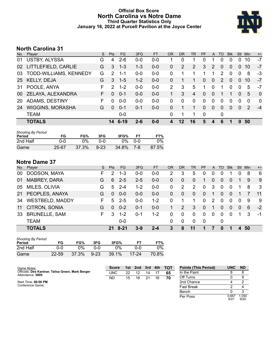# **Official Box Score North Carolina vs Notre Dame Third Quarter Statistics Only January 16, 2022 at Purcell Pavilion at the Joyce Center**



# **North Carolina 31**

| No.       | Plaver                  | S. | Pts           | <b>FG</b> | 3FG     | <b>FT</b> | 0R | <b>DR</b> | <b>TR</b> | <b>PF</b>    | A            | TO | <b>Blk</b> | Stl          | Min           | $+/-$          |
|-----------|-------------------------|----|---------------|-----------|---------|-----------|----|-----------|-----------|--------------|--------------|----|------------|--------------|---------------|----------------|
| 01        | USTBY, ALYSSA           | G  | 4             | $2 - 6$   | $0 - 0$ | $0 - 0$   |    | $\Omega$  | 1         | $\Omega$     | 1            | 0  | 0          |              | 10            | $-7$           |
| 02        | LITTLEFIELD, CARLIE     | G  | 3             | $1 - 3$   | $1 - 3$ | $0 - 0$   | 0  | 2         | 2         | 3            | 2            | 0  | 0          | $\Omega$     | 10            | -7             |
| 03.       | TODD-WILLIAMS, KENNEDY  | G  | 2             | 1-1       | $0-0$   | $0-0$     | 0  |           |           | 1            | 1.           | 2  | 0          | $\Omega$     | 8             | $-3$           |
| 25        | KELLY, DEJA             | G  | 3             | $1 - 5$   | $1 - 2$ | $0 - 0$   | 0  |           |           | $\mathbf{0}$ | $\Omega$     | 2  | $\Omega$   | $\Omega$     | 10            | -7             |
| 31        | POOLE, ANYA             | F  | $\mathcal{P}$ | $1 - 2$   | $0 - 0$ | $0 - 0$   | 2  | 3         | 5         | 1            | 0            | 1  | 0          | $\Omega$     | 5             | -7             |
| 00        | ZELAYA, ALEXANDRA       | F. | <sup>0</sup>  | $0 - 1$   | $0 - 0$ | $0 - 0$   | 1. | 3         | 4         | $\Omega$     | $\mathbf{0}$ |    |            | $\Omega$     | 5             | $\overline{0}$ |
| <b>20</b> | ADAMS, DESTINY          | F. | $\Omega$      | $0 - 0$   | $0-0$   | $0 - 0$   | 0  | $\Omega$  | $\Omega$  | 0            | $\mathbf{0}$ | 0  | 0          | $\Omega$     | $\Omega$      | $\Omega$       |
| 24        | <b>WIGGINS, MORASHA</b> | G  | $\Omega$      | $0 - 1$   | $0 - 1$ | $0-0$     | 0  |           |           | $\Omega$     | $\Omega$     | 0  | 0          | $\Omega$     | $\mathcal{P}$ | $-4$           |
|           | <b>TEAM</b>             |    |               | $0-0$     |         |           | 0  | 1         | 1         | $\Omega$     |              | 0  |            |              |               |                |
|           | <b>TOTALS</b>           |    | 14            | $6 - 19$  | $2 - 6$ | $0 - 0$   | 4  | $12 \,$   | 16        | 5            | 4            | 6  |            | <sup>0</sup> | 50            |                |

| <b>Shooting By Period</b><br>Period | FG    | FG%   | 3FG      | 3FG%  | FТ  | FT%   |
|-------------------------------------|-------|-------|----------|-------|-----|-------|
| 2nd Half                            | 0-0   | 0%    | ባ-በ      | $0\%$ | 0-0 | 0%    |
| Game                                | 25-67 | 37.3% | $8 - 23$ | 34.8% | 7-8 | 87.5% |

# **Notre Dame 37**

| No. | Player                 | S  | <b>Pts</b> | <b>FG</b> | 3FG     | <b>FT</b> | OR       | DR           | TR           | <b>PF</b> | A            | TO       | <b>Blk</b>     | <b>Stl</b>     | Min | $+/-$ |
|-----|------------------------|----|------------|-----------|---------|-----------|----------|--------------|--------------|-----------|--------------|----------|----------------|----------------|-----|-------|
| 00  | DODSON, MAYA           | F. | 2          | $1 - 3$   | $0 - 0$ | $0-0$     | 2        | 3            | 5            | 0         | 0            |          |                |                | 8   | 6     |
| 01  | <b>MABREY, DARA</b>    | G  | 6          | $2 - 5$   | $2 - 5$ | $0-0$     | 0        | 0            | 0            | 1         | $\Omega$     | 0        | 0              |                | 9   | -9    |
| 05  | MILES, OLIVIA          | G  | 5          | $2 - 4$   | $1 - 2$ | $0-0$     | 0        | 2            | 2            | 0         | 3            | $\Omega$ | $\Omega$       |                | 8   | -3    |
| 21  | PEOPLES, ANAYA         | G  | $\Omega$   | $0 - 0$   | $0 - 0$ | $0-0$     | 0        | $\mathbf{0}$ | $\mathbf{0}$ | $\Omega$  | $\mathbf{1}$ | $\Omega$ | $\Omega$       |                |     | 11    |
| 34  | <b>WESTBELD, MADDY</b> | F. | 5          | $2 - 5$   | $0 - 0$ | $1 - 2$   | $\Omega$ |              | 1.           | $\Omega$  | 2            | $\Omega$ | $\Omega$       | $\Omega$       | -9  | -9    |
| 11  | CITRON, SONIA          | G  | $\Omega$   | $0 - 2$   | $0 - 1$ | $0 - 0$   | 1.       | 2            | 3            | 0         |              | $\Omega$ | $\overline{0}$ | $\overline{0}$ | 6   | $-2$  |
| 33  | <b>BRUNELLE, SAM</b>   | F. | 3          | $1 - 2$   | $0 - 1$ | $1 - 2$   | 0        | $\mathbf{0}$ | $\Omega$     | 0         | $\Omega$     | $\Omega$ | $\Omega$       |                | 3   | -1    |
|     | <b>TEAM</b>            |    |            | $0-0$     |         |           | $\Omega$ | 0            | $\Omega$     | 0         |              | 0        |                |                |     |       |
|     | <b>TOTALS</b>          |    | 21         | 8-21      | $3-9$   | $2 - 4$   | 3        | 8            | 11           |           |              | O        |                | 4              | 50  |       |

| <b>Shooting By Period</b><br>Period | FG        | FG%   | 3FG      | 3FG%  |       | FT%   |
|-------------------------------------|-----------|-------|----------|-------|-------|-------|
| 2nd Half                            | 0-0       | ገ%    | ი-ი      | $0\%$ | 0-0   | $0\%$ |
| Game                                | $22 - 59$ | 37.3% | $9 - 23$ | 39.1% | 17-24 | 70.8% |

| Game Notes:                                                           | <b>Score</b> | 1st l | 2nd | 3rd | 4th | <b>- тот</b> | <b>Points (This Period)</b> | <b>UNC</b> | <b>ND</b> |
|-----------------------------------------------------------------------|--------------|-------|-----|-----|-----|--------------|-----------------------------|------------|-----------|
| Officials: Dee Kantner, Talisa Green, Mark Berger<br>Attendance: 5905 | UNC          | 22    |     | 14  |     | 65           | In the Paint                |            |           |
|                                                                       | <b>ND</b>    | 15    | 18  | 21  | 16  | 70           | Off Turns                   |            |           |
| Start Time: 06:00 PM                                                  |              |       |     |     |     |              | 2nd Chance                  |            |           |
| Conference Game;                                                      |              |       |     |     |     |              | <b>Fast Break</b>           |            |           |
|                                                                       |              |       |     |     |     |              | Bench                       |            |           |

Per Poss

 $0.667$ <br> $6/21$ 

1.050 9/20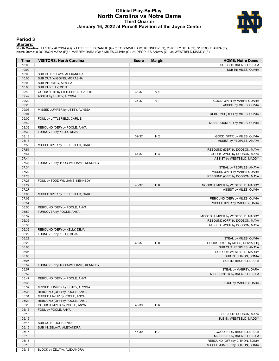# **Official Play-By-Play North Carolina vs Notre Dame Third Quarter January 16, 2022 at Purcell Pavilion at the Joyce Center**



## **Period 3**

#### **Starters:**

North Carolina: 1 USTBY,ALYSSA (G); 2 LITTLEFIELD,CARLIE (G); 3 TODD-WILLIAMS,KENNEDY (G); 25 KELLY,DEJA (G); 31 POOLE,ANYA (F);<br>Notre Dame: 0 DODSON,MAYA (F); 1 MABREY,DARA (G); 5 MILES,OLIVIA (G); 21 PEOPLES,ANAYA (G); 3

| Time  | <b>VISITORS: North Carolina</b>    | <b>Score</b> | <b>Margin</b>  | <b>HOME: Notre Dame</b>           |
|-------|------------------------------------|--------------|----------------|-----------------------------------|
| 10:00 |                                    |              |                | SUB OUT: BRUNELLE, SAM            |
| 10:00 |                                    |              |                | SUB IN: MILES, OLIVIA             |
| 10:00 | SUB OUT: ZELAYA, ALEXANDRA         |              |                |                                   |
| 10:00 | SUB OUT: WIGGINS, MORASHA          |              |                |                                   |
| 10:00 | SUB IN: USTBY, ALYSSA              |              |                |                                   |
| 10:00 | SUB IN: KELLY, DEJA                |              |                |                                   |
| 09:49 | GOOD! 3PTR by LITTLEFIELD, CARLIE  | 33-37        | V <sub>4</sub> |                                   |
| 09:49 | ASSIST by USTBY, ALYSSA            |              |                |                                   |
| 09:20 |                                    | 36-37        | V <sub>1</sub> | GOOD! 3PTR by MABREY, DARA        |
| 09:20 |                                    |              |                | ASSIST by MILES, OLIVIA           |
| 09:03 | MISSED JUMPER by USTBY, ALYSSA     |              |                |                                   |
| 09:01 |                                    |              |                | REBOUND (DEF) by MILES, OLIVIA    |
| 09:00 | FOUL by LITTLEFIELD, CARLIE        |              |                |                                   |
| 08:42 |                                    |              |                | MISSED JUMPER by MILES, OLIVIA    |
| 08:39 | REBOUND (DEF) by POOLE, ANYA       |              |                |                                   |
| 08:30 | TURNOVER by KELLY, DEJA            |              |                |                                   |
| 08:18 |                                    | 39-37        | H <sub>2</sub> | GOOD! 3PTR by MILES, OLIVIA       |
| 08:18 |                                    |              |                | ASSIST by PEOPLES, ANAYA          |
| 07:55 | MISSED 3PTR by LITTLEFIELD, CARLIE |              |                |                                   |
| 07:51 |                                    |              |                | REBOUND (DEF) by DODSON, MAYA     |
| 07:44 |                                    | 41-37        | H4             | GOOD! LAYUP by DODSON, MAYA       |
| 07:44 |                                    |              |                | ASSIST by WESTBELD, MADDY         |
| 07:34 | TURNOVER by TODD-WILLIAMS, KENNEDY |              |                |                                   |
| 07:34 |                                    |              |                | STEAL by PEOPLES, ANAYA           |
| 07:29 |                                    |              |                | MISSED 3PTR by MABREY, DARA       |
| 07:28 |                                    |              |                | REBOUND (OFF) by DODSON, MAYA     |
| 07:28 | FOUL by TODD-WILLIAMS, KENNEDY     |              |                |                                   |
| 07:27 |                                    | 43-37        | H <sub>6</sub> | GOOD! JUMPER by WESTBELD, MADDY   |
| 07:27 |                                    |              |                | ASSIST by MILES, OLIVIA           |
| 07:05 | MISSED 3PTR by LITTLEFIELD, CARLIE |              |                |                                   |
| 07:02 |                                    |              |                | REBOUND (DEF) by MILES, OLIVIA    |
| 06:54 |                                    |              |                | MISSED 3PTR by MABREY, DARA       |
| 06:50 | REBOUND (DEF) by POOLE, ANYA       |              |                |                                   |
| 06:50 | TURNOVER by POOLE, ANYA            |              |                |                                   |
| 06:39 |                                    |              |                | MISSED JUMPER by WESTBELD, MADDY  |
| 06:35 |                                    |              |                | REBOUND (OFF) by DODSON, MAYA     |
| 06:35 |                                    |              |                | MISSED LAYUP by DODSON, MAYA      |
| 06:32 | REBOUND (DEF) by KELLY, DEJA       |              |                |                                   |
| 06:29 | <b>TURNOVER by KELLY, DEJA</b>     |              |                |                                   |
| 06:29 |                                    |              |                | STEAL by MILES, OLIVIA            |
| 06:23 |                                    | 45-37        | H <sub>8</sub> | GOOD! LAYUP by MILES, OLIVIA [FB] |
| 06:05 |                                    |              |                | SUB OUT: PEOPLES, ANAYA           |
| 06:05 |                                    |              |                | SUB OUT: WESTBELD, MADDY          |
| 06:05 |                                    |              |                | SUB IN: CITRON, SONIA             |
| 06:05 |                                    |              |                | SUB IN: BRUNELLE, SAM             |
| 05:57 | TURNOVER by TODD-WILLIAMS, KENNEDY |              |                |                                   |
| 05:57 |                                    |              |                | STEAL by MABREY, DARA             |
| 05:52 |                                    |              |                | MISSED 3PTR by BRUNELLE, SAM      |
| 05:47 | REBOUND (DEF) by POOLE, ANYA       |              |                |                                   |
| 05:38 |                                    |              |                | FOUL by MABREY, DARA              |
| 05:37 | MISSED JUMPER by USTBY, ALYSSA     |              |                |                                   |
| 05:33 | REBOUND (OFF) by POOLE, ANYA       |              |                |                                   |
| 05:31 | MISSED LAYUP by POOLE, ANYA        |              |                |                                   |
| 05:29 | REBOUND (OFF) by POOLE, ANYA       |              |                |                                   |
| 05:28 | GOOD! JUMPER by POOLE, ANYA        | 45-39        | H <sub>6</sub> |                                   |
| 05:16 | FOUL by POOLE, ANYA                |              |                |                                   |
| 05:16 |                                    |              |                | SUB OUT: DODSON, MAYA             |
| 05:16 |                                    |              |                | SUB IN: WESTBELD, MADDY           |
| 05:16 | SUB OUT: POOLE, ANYA               |              |                |                                   |
| 05:16 | SUB IN: ZELAYA, ALEXANDRA          |              |                |                                   |
| 05:16 |                                    | 46-39        | H 7            | GOOD! FT by BRUNELLE, SAM         |
| 05:16 |                                    |              |                | MISSED FT by BRUNELLE, SAM        |
| 05:15 |                                    |              |                | REBOUND (OFF) by CITRON, SONIA    |
| 05:13 |                                    |              |                | MISSED JUMPER by CITRON, SONIA    |
| 05:13 | BLOCK by ZELAYA, ALEXANDRA         |              |                |                                   |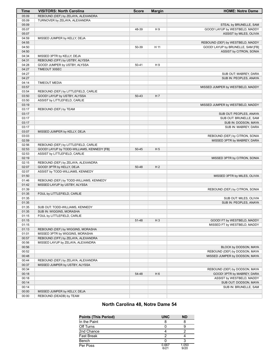| Time           | <b>VISITORS: North Carolina</b>            | <b>Score</b> | <b>Margin</b>  | <b>HOME: Notre Dame</b>                                        |
|----------------|--------------------------------------------|--------------|----------------|----------------------------------------------------------------|
| 05:09          | REBOUND (DEF) by ZELAYA, ALEXANDRA         |              |                |                                                                |
| 05:09          | TURNOVER by ZELAYA, ALEXANDRA              |              |                |                                                                |
| 05:09          |                                            |              |                | STEAL by BRUNELLE, SAM                                         |
| 05:07          |                                            | 48-39        | H <sub>9</sub> | GOOD! LAYUP by WESTBELD, MADDY                                 |
| 05:07          |                                            |              |                | <b>ASSIST by MILES, OLIVIA</b>                                 |
| 04:59          | MISSED JUMPER by KELLY, DEJA               |              |                |                                                                |
| 04:55          |                                            |              |                | REBOUND (DEF) by WESTBELD, MADDY                               |
| 04:50          |                                            | 50-39        | H 11           | GOOD! LAYUP by BRUNELLE, SAM [FB]                              |
| 04:50          |                                            |              |                | ASSIST by CITRON, SONIA                                        |
| 04:34          | MISSED 3PTR by KELLY, DEJA                 |              |                |                                                                |
| 04:31          | REBOUND (OFF) by USTBY, ALYSSA             |              |                |                                                                |
| 04:28          | GOOD! JUMPER by USTBY, ALYSSA              | $50 - 41$    | H9             |                                                                |
| 04:27          | TIMEOUT 30SEC                              |              |                |                                                                |
| 04:27          |                                            |              |                | SUB OUT: MABREY, DARA                                          |
| 04:27          |                                            |              |                | SUB IN: PEOPLES, ANAYA                                         |
| 04:14          | <b>TIMEOUT MEDIA</b>                       |              |                |                                                                |
| 03:57          |                                            |              |                | MISSED JUMPER by WESTBELD, MADDY                               |
| 03:54          | REBOUND (DEF) by LITTLEFIELD, CARLIE       |              |                |                                                                |
| 03:50          | GOOD! LAYUP by USTBY, ALYSSA               | 50-43        | H 7            |                                                                |
| 03:50          | ASSIST by LITTLEFIELD, CARLIE              |              |                |                                                                |
| 03:19          |                                            |              |                | MISSED JUMPER by WESTBELD, MADDY                               |
| 03:17          | REBOUND (DEF) by TEAM                      |              |                |                                                                |
| 03:17          |                                            |              |                | SUB OUT: PEOPLES, ANAYA                                        |
| 03:17<br>03:17 |                                            |              |                | SUB OUT: BRUNELLE, SAM                                         |
| 03:17          |                                            |              |                | SUB IN: DODSON, MAYA                                           |
| 03:07          | MISSED JUMPER by KELLY, DEJA               |              |                | SUB IN: MABREY, DARA                                           |
| 03:03          |                                            |              |                | REBOUND (DEF) by CITRON, SONIA                                 |
| 02:59          |                                            |              |                | MISSED 3PTR by MABREY, DARA                                    |
| 02:56          | REBOUND (DEF) by LITTLEFIELD, CARLIE       |              |                |                                                                |
| 02:53          | GOOD! LAYUP by TODD-WILLIAMS, KENNEDY [FB] | $50 - 45$    | H <sub>5</sub> |                                                                |
| 02:53          | ASSIST by LITTLEFIELD, CARLIE              |              |                |                                                                |
| 02:19          |                                            |              |                | MISSED 3PTR by CITRON, SONIA                                   |
| 02:15          | REBOUND (DEF) by ZELAYA, ALEXANDRA         |              |                |                                                                |
| 02:07          | GOOD! 3PTR by KELLY, DEJA                  | 50-48        | H <sub>2</sub> |                                                                |
| 02:07          | ASSIST by TODD-WILLIAMS, KENNEDY           |              |                |                                                                |
| 01:50          |                                            |              |                | MISSED 3PTR by MILES, OLIVIA                                   |
| 01:46          | REBOUND (DEF) by TODD-WILLIAMS, KENNEDY    |              |                |                                                                |
| 01:42          | MISSED LAYUP by USTBY, ALYSSA              |              |                |                                                                |
| 01:39          |                                            |              |                | REBOUND (DEF) by CITRON, SONIA                                 |
| 01:35          | FOUL by LITTLEFIELD, CARLIE                |              |                |                                                                |
| 01:35          |                                            |              |                | SUB OUT: MILES, OLIVIA                                         |
| 01:35          |                                            |              |                | SUB IN: PEOPLES, ANAYA                                         |
| 01:35          | SUB OUT: TODD-WILLIAMS, KENNEDY            |              |                |                                                                |
| 01:35          | SUB IN: WIGGINS, MORASHA                   |              |                |                                                                |
| 01:15          | FOUL by LITTLEFIELD, CARLIE                |              |                |                                                                |
| 01:15          |                                            | 51-48        | $H_3$          | GOOD! FT by WESTBELD, MADDY                                    |
| 01:15          |                                            |              |                | MISSED FT by WESTBELD, MADDY                                   |
| 01:13          | REBOUND (DEF) by WIGGINS, MORASHA          |              |                |                                                                |
| 01:01          | MISSED 3PTR by WIGGINS, MORASHA            |              |                |                                                                |
| 00:57          | REBOUND (OFF) by ZELAYA, ALEXANDRA         |              |                |                                                                |
| 00:56          | MISSED LAYUP by ZELAYA, ALEXANDRA          |              |                | BLOCK by DODSON, MAYA                                          |
| 00:56          |                                            |              |                |                                                                |
| 00:52<br>00:48 |                                            |              |                | REBOUND (DEF) by DODSON, MAYA<br>MISSED JUMPER by DODSON, MAYA |
| 00:44          | REBOUND (DEF) by ZELAYA, ALEXANDRA         |              |                |                                                                |
| 00:37          | MISSED JUMPER by USTBY, ALYSSA             |              |                |                                                                |
| 00:34          |                                            |              |                | REBOUND (DEF) by DODSON, MAYA                                  |
| 00:18          |                                            | 54-48        | H <sub>6</sub> | GOOD! 3PTR by MABREY, DARA                                     |
| 00:18          |                                            |              |                | ASSIST by WESTBELD, MADDY                                      |
| 00:14          |                                            |              |                | SUB OUT: DODSON, MAYA                                          |
| 00:14          |                                            |              |                | SUB IN: BRUNELLE, SAM                                          |
| 00:00          | MISSED JUMPER by KELLY, DEJA               |              |                |                                                                |
| 00:00          | REBOUND (DEADB) by TEAM                    |              |                |                                                                |
|                |                                            |              |                |                                                                |

# **North Carolina 48, Notre Dame 54**

| <b>Points (This Period)</b> | <b>UNC</b>    | <b>ND</b>     |
|-----------------------------|---------------|---------------|
| In the Paint                |               |               |
| Off Turns                   |               |               |
| 2nd Chance                  |               |               |
| <b>Fast Break</b>           |               |               |
| Bench                       |               |               |
| Per Poss                    | 0.667<br>6/21 | 1.050<br>9/20 |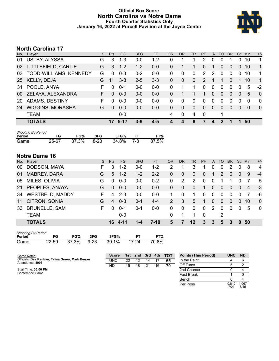# **Official Box Score North Carolina vs Notre Dame Fourth Quarter Statistics Only January 16, 2022 at Purcell Pavilion at the Joyce Center**



# **North Carolina 17**

| No.       | Player                  | S. | <b>Pts</b> | <b>FG</b> | 3FG     | <b>FT</b> | <b>OR</b> | <b>DR</b>        | <b>TR</b>    | <b>PF</b>     | A            | TO       | <b>Blk</b> | Stl      | Min      | $+/-$        |
|-----------|-------------------------|----|------------|-----------|---------|-----------|-----------|------------------|--------------|---------------|--------------|----------|------------|----------|----------|--------------|
| 01        | USTBY, ALYSSA           | G  | 3          | $1 - 3$   | $0 - 0$ | $1 - 2$   | 0         |                  |              | 2             | 0            | 0        |            | 0        | 10       | 1            |
| 02        | LITTLEFIELD, CARLIE     | G  | 3          | $1 - 2$   | $1 - 2$ | $0 - 0$   | 0         | 1                | 1            | 0             |              | 0        | 0          | $\Omega$ | 10       | 1            |
| 03        | TODD-WILLIAMS, KENNEDY  | G  | $\Omega$   | $0 - 3$   | $0 - 2$ | $0 - 0$   | 0         | $\Omega$         | $\mathbf{0}$ | $\mathcal{P}$ | 2            | 0        | 0          | $\Omega$ | 10       | 1            |
| 25        | <b>KELLY, DEJA</b>      | G  | 11         | $3 - 8$   | $2 - 5$ | $3 - 3$   | 0         | $\Omega$         | $\mathbf{0}$ | $\mathcal{P}$ | 1            | 1        | 0          |          | 10       | $\mathbf 1$  |
| 31        | POOLE, ANYA             | F  |            | $0 - 1$   | $0-0$   | $0 - 0$   | 0         | 1                | 1            | 0             | $\mathbf{0}$ | 0        | 0          | $\Omega$ | 5        | $-2$         |
| 00        | ZELAYA, ALEXANDRA       | F. | $\Omega$   | $0 - 0$   | $0 - 0$ | $0 - 0$   | 0         |                  |              | 1             | $\Omega$     | $\Omega$ | 0          | $\Omega$ | 5        | $\mathbf 0$  |
| <b>20</b> | ADAMS, DESTINY          | F  |            | $0 - 0$   | $0-0$   | $0-0$     | 0         | 0                | $\mathbf{0}$ | $\Omega$      | $\mathbf{0}$ | 0        | 0          | $\Omega$ | $\Omega$ | $\mathbf{0}$ |
| 24        | <b>WIGGINS, MORASHA</b> | G  | $\Omega$   | $0 - 0$   | $0 - 0$ | $0 - 0$   | 0         | $\Omega$         | $\Omega$     | $\Omega$      | $\Omega$     | 0        | 0          | $\Omega$ | $\Omega$ | $\mathbf{0}$ |
|           | <b>TEAM</b>             |    |            | 0-0       |         |           | 4         | $\mathbf 0$      | 4            | $\mathbf 0$   |              | 1        |            |          |          |              |
|           | <b>TOTALS</b>           |    | 17         | $5 - 17$  | $3-9$   | $4 - 5$   |           | $\boldsymbol{4}$ | 8            | 7             | 4            | 2        | 1          |          | 50       |              |
|           |                         |    |            |           |         |           |           |                  |              |               |              |          |            |          |          |              |

| <b>Shooting By Period</b> |       |       |        |       |           |       |
|---------------------------|-------|-------|--------|-------|-----------|-------|
| Period                    | FG    | FG%   | 3FG    | 3FG%  | <b>FT</b> | FT%   |
| Game                      | 25-67 | 37.3% | - 8-23 | 34.8% | 7-8       | 87.5% |

# **Notre Dame 16**

| No. | Player                 | S  | <b>Pts</b> | <b>FG</b> | 3FG     | <b>FT</b> | <b>OR</b> | <b>DR</b>    | <b>TR</b> | <b>PF</b>      | A        | TO       | <b>Blk</b>     | Stl            | Min            | $+/-$          |
|-----|------------------------|----|------------|-----------|---------|-----------|-----------|--------------|-----------|----------------|----------|----------|----------------|----------------|----------------|----------------|
| 00  | DODSON, MAYA           | F. | 3          | $1 - 2$   | $0 - 0$ | $1 - 2$   | 2         |              | 3         |                | 0        | $\Omega$ | 2              | 0              | 8              | $\overline{4}$ |
| 01  | <b>MABREY, DARA</b>    | G  | 5          | $1 - 2$   | $1 - 2$ | $2 - 2$   | 0         | 0            | $\Omega$  | $\overline{0}$ |          | 2        | $\overline{0}$ | $\overline{0}$ | 9              | $-4$           |
| 05  | MILES, OLIVIA          | G  | $\Omega$   | $0 - 0$   | $0 - 0$ | $0 - 2$   | 0         | 2            | 2         | $\Omega$       | $\Omega$ |          |                | $\Omega$       |                | -5             |
| 21  | PEOPLES, ANAYA         | G  | $\Omega$   | $0 - 0$   | $0 - 0$ | $0 - 0$   | 0         | $\mathbf{0}$ | $\Omega$  | 1              | $\Omega$ | $\Omega$ | $\overline{0}$ | $\Omega$       | $\overline{4}$ | -3             |
| 34  | <b>WESTBELD, MADDY</b> | F. | 4          | $2 - 3$   | $0-0$   | $0-0$     |           | $\Omega$     |           | $\Omega$       | 0        | $\Omega$ | 0              | 0              |                | -6             |
| 11  | CITRON, SONIA          | G  | 4          | $0 - 3$   | $0 - 1$ | $4 - 4$   | 2         | 3            | 5         | 1              | $\Omega$ | $\Omega$ | $\Omega$       | $\Omega$       | 10             | $\Omega$       |
| 33  | <b>BRUNELLE, SAM</b>   | F  | 0          | $0 - 1$   | $0 - 1$ | $0 - 0$   | 0         | $\Omega$     | $\Omega$  | $\Omega$       | 2        | $\Omega$ | $\Omega$       | 0              | 5              | - 0            |
|     | <b>TEAM</b>            |    |            | $0 - 0$   |         |           | 0         |              |           | $\Omega$       |          | 2        |                |                |                |                |
|     | <b>TOTALS</b>          |    | 16         | $4 - 11$  | 1-4     | $7 - 10$  | 5         | 7            | $12 \,$   | 3              | 3        | 5        | 3              | 0              | 50             |                |

| <b>Shooting By Period</b> |       |       |        |       |         |       |  |  |  |  |  |
|---------------------------|-------|-------|--------|-------|---------|-------|--|--|--|--|--|
| Period                    | FG    | FG%   | 3FG    | 3FG%  |         | FT%   |  |  |  |  |  |
| Game                      | 22-59 | 37.3% | $9-23$ | 39.1% | - 17-24 | 70.8% |  |  |  |  |  |

| Game Notes:                                                           | <b>Score</b> |    | 1st 2nd | 3rd | 4th | тот | <b>Points (This Period)</b> | <b>UNC</b>    | <b>ND</b>     |
|-----------------------------------------------------------------------|--------------|----|---------|-----|-----|-----|-----------------------------|---------------|---------------|
| Officials: Dee Kantner, Talisa Green, Mark Berger<br>Attendance: 5905 | <b>UNC</b>   | 22 | 12      | 14  |     | 65  | In the Paint                |               |               |
|                                                                       | ND           | 15 | 18      | 21  | 16  | 70  | Off Turns                   |               |               |
| Start Time: 06:00 PM                                                  |              |    |         |     |     |     | 2nd Chance                  |               |               |
| Conference Game:                                                      |              |    |         |     |     |     | Fast Break                  |               |               |
|                                                                       |              |    |         |     |     |     | Bench                       |               |               |
|                                                                       |              |    |         |     |     |     | Per Poss                    | 0.810<br>7/21 | 1.067<br>8/15 |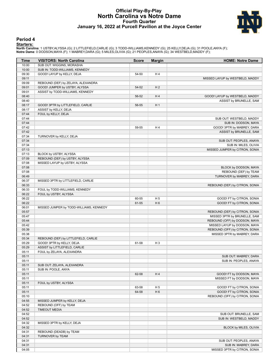# **Official Play-By-Play North Carolina vs Notre Dame Fourth Quarter January 16, 2022 at Purcell Pavilion at the Joyce Center**



#### **Period 4**

#### **Starters:**

North Carolina: 1 USTBY,ALYSSA (G); 2 LITTLEFIELD,CARLIE (G); 3 TODD-WILLIAMS,KENNEDY (G); 25 KELLY,DEJA (G); 31 POOLE,ANYA (F);<br>Notre Dame: 0 DODSON,MAYA (F); 1 MABREY,DARA (G); 5 MILES,OLIVIA (G); 21 PEOPLES,ANAYA (G); 3

| Time           | <b>VISITORS: North Carolina</b>         | <b>Score</b> | <b>Margin</b>  | <b>HOME: Notre Dame</b>                          |
|----------------|-----------------------------------------|--------------|----------------|--------------------------------------------------|
| 10:00          | SUB OUT: WIGGINS, MORASHA               |              |                |                                                  |
| 10:00          | SUB IN: TODD-WILLIAMS, KENNEDY          |              |                |                                                  |
| 09:30          | GOOD! LAYUP by KELLY, DEJA              | 54-50        | H4             |                                                  |
| 09:11          |                                         |              |                | MISSED LAYUP by WESTBELD, MADDY                  |
| 09:09          | REBOUND (DEF) by ZELAYA, ALEXANDRA      |              |                |                                                  |
| 09:01          | GOOD! JUMPER by USTBY, ALYSSA           | 54-52        | H <sub>2</sub> |                                                  |
| 09:01          | ASSIST by TODD-WILLIAMS, KENNEDY        |              |                |                                                  |
| 08:40          |                                         | 56-52        | H4             | GOOD! LAYUP by WESTBELD, MADDY                   |
| 08:40          |                                         |              |                | ASSIST by BRUNELLE, SAM                          |
| 08:17          | GOOD! 3PTR by LITTLEFIELD, CARLIE       | 56-55        | H <sub>1</sub> |                                                  |
| 08:17          | ASSIST by KELLY, DEJA                   |              |                |                                                  |
| 07:44          | FOUL by KELLY, DEJA                     |              |                |                                                  |
| 07:44          |                                         |              |                | SUB OUT: WESTBELD, MADDY                         |
| 07:44          |                                         |              |                | SUB IN: DODSON, MAYA                             |
| 07:42          |                                         | 59-55        | H4             | GOOD! 3PTR by MABREY, DARA                       |
| 07:42<br>07:34 |                                         |              |                | ASSIST by BRUNELLE, SAM                          |
| 07:34          | TURNOVER by KELLY, DEJA                 |              |                |                                                  |
| 07:34          |                                         |              |                | SUB OUT: PEOPLES, ANAYA<br>SUB IN: MILES, OLIVIA |
| 07:13          |                                         |              |                | MISSED JUMPER by CITRON, SONIA                   |
| 07:13          | BLOCK by USTBY, ALYSSA                  |              |                |                                                  |
| 07:09          | REBOUND (DEF) by USTBY, ALYSSA          |              |                |                                                  |
| 07:08          | MISSED LAYUP by USTBY, ALYSSA           |              |                |                                                  |
| 07:08          |                                         |              |                | BLOCK by DODSON, MAYA                            |
| 07:08          |                                         |              |                | REBOUND (DEF) by TEAM                            |
| 06:49          |                                         |              |                | TURNOVER by MABREY, DARA                         |
| 06:37          | MISSED 3PTR by LITTLEFIELD, CARLIE      |              |                |                                                  |
| 06:33          |                                         |              |                | REBOUND (DEF) by CITRON, SONIA                   |
| 06:33          | FOUL by TODD-WILLIAMS, KENNEDY          |              |                |                                                  |
| 06:22          | FOUL by USTBY, ALYSSA                   |              |                |                                                  |
| 06:22          |                                         | 60-55        | H <sub>5</sub> | GOOD! FT by CITRON, SONIA                        |
| 06:22          |                                         | 61-55        | H <sub>6</sub> | GOOD! FT by CITRON, SONIA                        |
| 06:01          | MISSED JUMPER by TODD-WILLIAMS, KENNEDY |              |                |                                                  |
| 05:57          |                                         |              |                | REBOUND (DEF) by CITRON, SONIA                   |
| 05:47          |                                         |              |                | MISSED 3PTR by BRUNELLE, SAM                     |
| 05:44          |                                         |              |                | REBOUND (OFF) by DODSON, MAYA                    |
| 05:42          |                                         |              |                | MISSED LAYUP by DODSON, MAYA                     |
| 05:39          |                                         |              |                | REBOUND (OFF) by CITRON, SONIA                   |
| 05:38          |                                         |              |                | MISSED 3PTR by MABREY, DARA                      |
| 05:34          | REBOUND (DEF) by LITTLEFIELD, CARLIE    |              |                |                                                  |
| 05:29          | GOOD! 3PTR by KELLY, DEJA               | 61-58        | H <sub>3</sub> |                                                  |
| 05:29          | ASSIST by LITTLEFIELD, CARLIE           |              |                |                                                  |
| 05:11          | FOUL by ZELAYA, ALEXANDRA               |              |                |                                                  |
| 05:11          |                                         |              |                | SUB OUT: MABREY, DARA                            |
| 05:11          |                                         |              |                | SUB IN: PEOPLES, ANAYA                           |
| 05:11          | SUB OUT: ZELAYA, ALEXANDRA              |              |                |                                                  |
| 05:11          | SUB IN: POOLE, ANYA                     |              |                |                                                  |
| 05:11          |                                         | 62-58        | H4             | GOOD! FT by DODSON, MAYA                         |
| 05:11          |                                         |              |                | MISSED FT by DODSON, MAYA                        |
| 05:11          | FOUL by USTBY, ALYSSA                   |              |                |                                                  |
| 05:11          |                                         | 63-58        | H <sub>5</sub> | GOOD! FT by CITRON, SONIA                        |
| 05:11          |                                         | 64-58        | H <sub>6</sub> | GOOD! FT by CITRON, SONIA                        |
| 05:10          |                                         |              |                | REBOUND (OFF) by CITRON, SONIA                   |
| 04:55          | MISSED JUMPER by KELLY, DEJA            |              |                |                                                  |
| 04:52          | REBOUND (OFF) by TEAM                   |              |                |                                                  |
| 04:52          | <b>TIMEOUT MEDIA</b>                    |              |                |                                                  |
| 04:52          |                                         |              |                | SUB OUT: BRUNELLE, SAM                           |
| 04:52          |                                         |              |                | SUB IN: WESTBELD, MADDY                          |
| 04:32          | MISSED 3PTR by KELLY, DEJA              |              |                |                                                  |
| 04:32          |                                         |              |                | BLOCK by MILES, OLIVIA                           |
| 04:31          | REBOUND (DEADB) by TEAM                 |              |                |                                                  |
| 04:31          | TURNOVER by TEAM                        |              |                |                                                  |
| 04:31          |                                         |              |                | SUB OUT: PEOPLES, ANAYA                          |
| 04:31          |                                         |              |                | SUB IN: MABREY, DARA                             |
| 04:05          |                                         |              |                | MISSED 3PTR by CITRON, SONIA                     |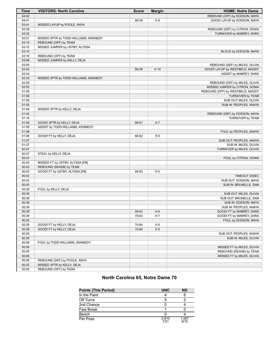| Time           | <b>VISITORS: North Carolina</b>       | <b>Score</b> | <b>Margin</b>  | <b>HOME: Notre Dame</b>          |
|----------------|---------------------------------------|--------------|----------------|----------------------------------|
| 04:02          |                                       |              |                | REBOUND (OFF) by DODSON, MAYA    |
| 04:01          |                                       | 66-58        | H <sub>8</sub> | GOOD! LAYUP by DODSON, MAYA      |
| 03:41          | MISSED LAYUP by POOLE, ANYA           |              |                |                                  |
| 03:39          |                                       |              |                | REBOUND (DEF) by CITRON, SONIA   |
| 03:35          |                                       |              |                | TURNOVER by MABREY, DARA         |
| 03:21          | MISSED 3PTR by TODD-WILLIAMS, KENNEDY |              |                |                                  |
| 03:19          | REBOUND (OFF) by TEAM                 |              |                |                                  |
| 03:10          | MISSED JUMPER by USTBY, ALYSSA        |              |                |                                  |
| 03:10          |                                       |              |                | BLOCK by DODSON, MAYA            |
| 03:10          | REBOUND (OFF) by TEAM                 |              |                |                                  |
| 03:08          | MISSED JUMPER by KELLY, DEJA          |              |                |                                  |
| 03:05          |                                       |              |                | REBOUND (DEF) by MILES, OLIVIA   |
| 02:43          |                                       | 68-58        | H 10           | GOOD! LAYUP by WESTBELD, MADDY   |
| 02:43          |                                       |              |                | ASSIST by MABREY, DARA           |
| 02:33          | MISSED 3PTR by TODD-WILLIAMS, KENNEDY |              |                |                                  |
| 02:29          |                                       |              |                | REBOUND (DEF) by MILES, OLIVIA   |
| 02:00          |                                       |              |                | MISSED JUMPER by CITRON, SONIA   |
| 01:59          |                                       |              |                | REBOUND (OFF) by WESTBELD, MADDY |
| 01:59          |                                       |              |                | TURNOVER by TEAM                 |
| 01:59          |                                       |              |                | SUB OUT: MILES, OLIVIA           |
| 01:59          |                                       |              |                | SUB IN: PEOPLES, ANAYA           |
| 01:48          | MISSED 3PTR by KELLY, DEJA            |              |                |                                  |
| 01:45          |                                       |              |                | REBOUND (DEF) by DODSON, MAYA    |
| 01:16<br>01:08 |                                       |              |                | TURNOVER by TEAM                 |
|                | GOOD! 3PTR by KELLY, DEJA             | 68-61        | H 7            |                                  |
| 01:08<br>01:08 | ASSIST by TODD-WILLIAMS, KENNEDY      |              |                |                                  |
| 01:08          | GOOD! FT by KELLY, DEJA               | 68-62        | H <sub>6</sub> | FOUL by PEOPLES, ANAYA           |
| 01:07          |                                       |              |                | SUB OUT: PEOPLES, ANAYA          |
| 01:07          |                                       |              |                | SUB IN: MILES, OLIVIA            |
| 00:47          |                                       |              |                | TURNOVER by MILES, OLIVIA        |
| 00:47          | STEAL by KELLY, DEJA                  |              |                |                                  |
| 00:43          |                                       |              |                | FOUL by CITRON, SONIA            |
| 00:43          | MISSED FT by USTBY, ALYSSA [FB]       |              |                |                                  |
| 00:43          | REBOUND (DEADB) by TEAM               |              |                |                                  |
| 00:43          | GOOD! FT by USTBY, ALYSSA [FB]        | 68-63        | H <sub>5</sub> |                                  |
| 00:43          |                                       |              |                | TIMEOUT 30SEC                    |
| 00:43          |                                       |              |                | SUB OUT: DODSON, MAYA            |
| 00:43          |                                       |              |                | SUB IN: BRUNELLE, SAM            |
| 00:39          | FOUL by KELLY, DEJA                   |              |                |                                  |
| 00:39          |                                       |              |                | SUB OUT: MILES, OLIVIA           |
| 00:39          |                                       |              |                | SUB OUT: BRUNELLE, SAM           |
| 00:39          |                                       |              |                | SUB IN: DODSON, MAYA             |
| 00:39          |                                       |              |                | SUB IN: PEOPLES, ANAYA           |
| 00:39          |                                       | 69-63        | H <sub>6</sub> | GOOD! FT by MABREY, DARA         |
| 00:39          |                                       | 70-63        | H 7            | GOOD! FT by MABREY, DARA         |
| 00:29          |                                       |              |                | FOUL by DODSON, MAYA             |
| 00:29          | GOOD! FT by KELLY, DEJA               | 70-64        | H <sub>6</sub> |                                  |
| 00:29          | GOOD! FT by KELLY, DEJA               | 70-65        | H <sub>5</sub> |                                  |
| 00:29          |                                       |              |                | SUB OUT: PEOPLES, ANAYA          |
| 00:29          |                                       |              |                | SUB IN: MILES, OLIVIA            |
| 00:09          | FOUL by TODD-WILLIAMS, KENNEDY        |              |                |                                  |
| 00:09          |                                       |              |                | MISSED FT by MILES, OLIVIA       |
| 00:09          |                                       |              |                | REBOUND (DEADB) by TEAM          |
| 00:09          |                                       |              |                | MISSED FT by MILES, OLIVIA       |
| 00:08          | REBOUND (DEF) by POOLE, ANYA          |              |                |                                  |
| 00:02          | MISSED 3PTR by KELLY, DEJA            |              |                |                                  |
| 00:00          | REBOUND (OFF) by TEAM                 |              |                |                                  |

# **North Carolina 65, Notre Dame 70**

| <b>Points (This Period)</b> | <b>UNC</b>    | <b>ND</b>     |
|-----------------------------|---------------|---------------|
| In the Paint                |               |               |
| Off Turns                   | 5             |               |
| 2nd Chance                  |               |               |
| <b>Fast Break</b>           |               |               |
| Bench                       |               |               |
| Per Poss                    | 0.810<br>7/21 | 1.067<br>8/15 |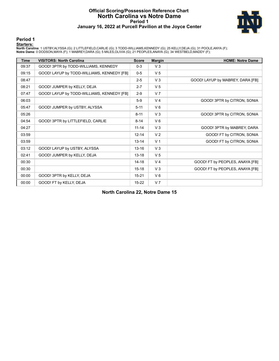## **Official Scoring/Possession Reference Chart North Carolina vs Notre Dame Period 1 January 16, 2022 at Purcell Pavilion at the Joyce Center**



**Period 1**

#### **Starters:**

North Carolina: 1 USTBY,ALYSSA (G); 2 LITTLEFIELD,CARLIE (G); 3 TODD-WILLIAMS,KENNEDY (G); 25 KELLY,DEJA (G); 31 POOLE,ANYA (F);<br>Notre Dame: 0 DODSON,MAYA (F); 1 MABREY,DARA (G); 5 MILES,OLIVIA (G); 21 PEOPLES,ANAYA (G); 3

| <b>Time</b> | <b>VISITORS: North Carolina</b>            | <b>Score</b> | <b>Margin</b>  | <b>HOME: Notre Dame</b>          |
|-------------|--------------------------------------------|--------------|----------------|----------------------------------|
| 09:37       | GOOD! 3PTR by TODD-WILLIAMS, KENNEDY       | $0 - 3$      | $V_3$          |                                  |
| 09:15       | GOOD! LAYUP by TODD-WILLIAMS, KENNEDY [FB] | $0 - 5$      | V <sub>5</sub> |                                  |
| 08:47       |                                            | $2 - 5$      | $V_3$          | GOOD! LAYUP by MABREY, DARA [FB] |
| 08:21       | GOOD! JUMPER by KELLY, DEJA                | $2 - 7$      | V <sub>5</sub> |                                  |
| 07:47       | GOOD! LAYUP by TODD-WILLIAMS, KENNEDY [FB] | $2 - 9$      | V <sub>7</sub> |                                  |
| 06:03       |                                            | $5-9$        | V <sub>4</sub> | GOOD! 3PTR by CITRON, SONIA      |
| 05:47       | GOOD! JUMPER by USTBY, ALYSSA              | $5 - 11$     | $V_6$          |                                  |
| 05:26       |                                            | $8 - 11$     | $V_3$          | GOOD! 3PTR by CITRON, SONIA      |
| 04:54       | GOOD! 3PTR by LITTLEFIELD, CARLIE          | $8 - 14$     | $V_6$          |                                  |
| 04:27       |                                            | $11 - 14$    | V <sub>3</sub> | GOOD! 3PTR by MABREY, DARA       |
| 03:59       |                                            | $12 - 14$    | V <sub>2</sub> | GOOD! FT by CITRON, SONIA        |
| 03:59       |                                            | $13 - 14$    | V <sub>1</sub> | GOOD! FT by CITRON, SONIA        |
| 03:12       | GOOD! LAYUP by USTBY, ALYSSA               | $13 - 16$    | V <sub>3</sub> |                                  |
| 02:41       | GOOD! JUMPER by KELLY, DEJA                | $13 - 18$    | V <sub>5</sub> |                                  |
| 00:30       |                                            | $14 - 18$    | V <sub>4</sub> | GOOD! FT by PEOPLES, ANAYA [FB]  |
| 00:30       |                                            | $15 - 18$    | $V_3$          | GOOD! FT by PEOPLES, ANAYA [FB]  |
| 00:00       | GOOD! 3PTR by KELLY, DEJA                  | $15 - 21$    | $V_6$          |                                  |
| 00:00       | GOOD! FT by KELLY, DEJA                    | $15 - 22$    | V <sub>7</sub> |                                  |

**North Carolina 22, Notre Dame 15**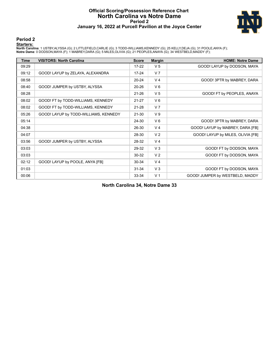## **Official Scoring/Possession Reference Chart North Carolina vs Notre Dame Period 2 January 16, 2022 at Purcell Pavilion at the Joyce Center**



## **Period 2**

#### **Starters:**

North Carolina: 1 USTBY,ALYSSA (G); 2 LITTLEFIELD,CARLIE (G); 3 TODD-WILLIAMS,KENNEDY (G); 25 KELLY,DEJA (G); 31 POOLE,ANYA (F);<br>Notre Dame: 0 DODSON,MAYA (F); 1 MABREY,DARA (G); 5 MILES,OLIVIA (G); 21 PEOPLES,ANAYA (G); 3

| Time  | <b>VISITORS: North Carolina</b>       | <b>Score</b> | <b>Margin</b>  | <b>HOME: Notre Dame</b>           |
|-------|---------------------------------------|--------------|----------------|-----------------------------------|
| 09:29 |                                       | $17 - 22$    | V <sub>5</sub> | GOOD! LAYUP by DODSON, MAYA       |
| 09:12 | GOOD! LAYUP by ZELAYA, ALEXANDRA      | $17 - 24$    | V <sub>7</sub> |                                   |
| 08:58 |                                       | $20 - 24$    | V <sub>4</sub> | GOOD! 3PTR by MABREY, DARA        |
| 08:40 | GOOD! JUMPER by USTBY, ALYSSA         | $20 - 26$    | $V_6$          |                                   |
| 08:28 |                                       | $21 - 26$    | V <sub>5</sub> | GOOD! FT by PEOPLES, ANAYA        |
| 08:02 | GOOD! FT by TODD-WILLIAMS, KENNEDY    | $21 - 27$    | $V_6$          |                                   |
| 08:02 | GOOD! FT by TODD-WILLIAMS, KENNEDY    | $21 - 28$    | V <sub>7</sub> |                                   |
| 05:26 | GOOD! LAYUP by TODD-WILLIAMS, KENNEDY | 21-30        | V <sub>9</sub> |                                   |
| 05:14 |                                       | 24-30        | $V_6$          | GOOD! 3PTR by MABREY, DARA        |
| 04:38 |                                       | 26-30        | V <sub>4</sub> | GOOD! LAYUP by MABREY, DARA [FB]  |
| 04:07 |                                       | 28-30        | V <sub>2</sub> | GOOD! LAYUP by MILES, OLIVIA [FB] |
| 03:56 | GOOD! JUMPER by USTBY, ALYSSA         | 28-32        | V <sub>4</sub> |                                   |
| 03:03 |                                       | 29-32        | $V_3$          | GOOD! FT by DODSON, MAYA          |
| 03:03 |                                       | 30-32        | V <sub>2</sub> | GOOD! FT by DODSON, MAYA          |
| 02:12 | GOOD! LAYUP by POOLE, ANYA [FB]       | 30-34        | V <sub>4</sub> |                                   |
| 01:03 |                                       | $31 - 34$    | V <sub>3</sub> | GOOD! FT by DODSON, MAYA          |
| 00:06 |                                       | 33-34        | V <sub>1</sub> | GOOD! JUMPER by WESTBELD, MADDY   |

**North Carolina 34, Notre Dame 33**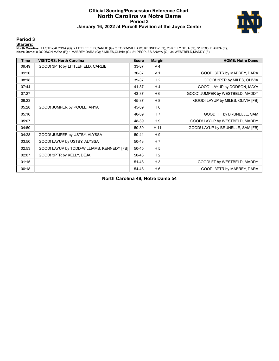## **Official Scoring/Possession Reference Chart North Carolina vs Notre Dame Period 3 January 16, 2022 at Purcell Pavilion at the Joyce Center**



## **Period 3**

#### **Starters:**

North Carolina: 1 USTBY,ALYSSA (G); 2 LITTLEFIELD,CARLIE (G); 3 TODD-WILLIAMS,KENNEDY (G); 25 KELLY,DEJA (G); 31 POOLE,ANYA (F);<br>Notre Dame: 0 DODSON,MAYA (F); 1 MABREY,DARA (G); 5 MILES,OLIVIA (G); 21 PEOPLES,ANAYA (G); 3

| <b>Time</b> | <b>VISITORS: North Carolina</b>            | <b>Score</b> | <b>Margin</b>  | <b>HOME: Notre Dame</b>           |
|-------------|--------------------------------------------|--------------|----------------|-----------------------------------|
| 09:49       | GOOD! 3PTR by LITTLEFIELD, CARLIE          | 33-37        | V <sub>4</sub> |                                   |
| 09:20       |                                            | 36-37        | V <sub>1</sub> | GOOD! 3PTR by MABREY, DARA        |
| 08:18       |                                            | 39-37        | H <sub>2</sub> | GOOD! 3PTR by MILES, OLIVIA       |
| 07:44       |                                            | 41-37        | H <sub>4</sub> | GOOD! LAYUP by DODSON, MAYA       |
| 07:27       |                                            | 43-37        | H 6            | GOOD! JUMPER by WESTBELD, MADDY   |
| 06:23       |                                            | 45-37        | H 8            | GOOD! LAYUP by MILES, OLIVIA [FB] |
| 05:28       | GOOD! JUMPER by POOLE, ANYA                | 45-39        | H <sub>6</sub> |                                   |
| 05:16       |                                            | 46-39        | H <sub>7</sub> | GOOD! FT by BRUNELLE, SAM         |
| 05:07       |                                            | 48-39        | H 9            | GOOD! LAYUP by WESTBELD, MADDY    |
| 04:50       |                                            | 50-39        | H 11           | GOOD! LAYUP by BRUNELLE, SAM [FB] |
| 04:28       | GOOD! JUMPER by USTBY, ALYSSA              | $50 - 41$    | H 9            |                                   |
| 03:50       | GOOD! LAYUP by USTBY, ALYSSA               | 50-43        | H <sub>7</sub> |                                   |
| 02:53       | GOOD! LAYUP by TODD-WILLIAMS, KENNEDY [FB] | 50-45        | H <sub>5</sub> |                                   |
| 02:07       | GOOD! 3PTR by KELLY, DEJA                  | 50-48        | H <sub>2</sub> |                                   |
| 01:15       |                                            | 51-48        | $H_3$          | GOOD! FT by WESTBELD, MADDY       |
| 00:18       |                                            | 54-48        | H <sub>6</sub> | GOOD! 3PTR by MABREY, DARA        |

**North Carolina 48, Notre Dame 54**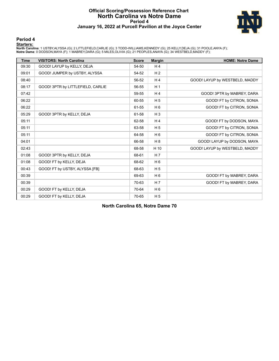## **Official Scoring/Possession Reference Chart North Carolina vs Notre Dame Period 4 January 16, 2022 at Purcell Pavilion at the Joyce Center**



### **Period 4**

#### **Starters:**

North Carolina: 1 USTBY,ALYSSA (G); 2 LITTLEFIELD,CARLIE (G); 3 TODD-WILLIAMS,KENNEDY (G); 25 KELLY,DEJA (G); 31 POOLE,ANYA (F);<br>Notre Dame: 0 DODSON,MAYA (F); 1 MABREY,DARA (G); 5 MILES,OLIVIA (G); 21 PEOPLES,ANAYA (G); 3

| <b>Time</b> | <b>VISITORS: North Carolina</b>   | <b>Score</b> | <b>Margin</b>  | <b>HOME: Notre Dame</b>        |
|-------------|-----------------------------------|--------------|----------------|--------------------------------|
| 09:30       | GOOD! LAYUP by KELLY, DEJA        | 54-50        | H <sub>4</sub> |                                |
| 09:01       | GOOD! JUMPER by USTBY, ALYSSA     | 54-52        | H <sub>2</sub> |                                |
| 08:40       |                                   | 56-52        | H <sub>4</sub> | GOOD! LAYUP by WESTBELD, MADDY |
| 08:17       | GOOD! 3PTR by LITTLEFIELD, CARLIE | 56-55        | H <sub>1</sub> |                                |
| 07:42       |                                   | 59-55        | H <sub>4</sub> | GOOD! 3PTR by MABREY, DARA     |
| 06:22       |                                   | 60-55        | H <sub>5</sub> | GOOD! FT by CITRON, SONIA      |
| 06:22       |                                   | 61-55        | H <sub>6</sub> | GOOD! FT by CITRON, SONIA      |
| 05:29       | GOOD! 3PTR by KELLY, DEJA         | 61-58        | $H_3$          |                                |
| 05:11       |                                   | 62-58        | H <sub>4</sub> | GOOD! FT by DODSON, MAYA       |
| 05:11       |                                   | 63-58        | H <sub>5</sub> | GOOD! FT by CITRON, SONIA      |
| 05:11       |                                   | 64-58        | H <sub>6</sub> | GOOD! FT by CITRON, SONIA      |
| 04:01       |                                   | 66-58        | H 8            | GOOD! LAYUP by DODSON, MAYA    |
| 02:43       |                                   | 68-58        | H 10           | GOOD! LAYUP by WESTBELD, MADDY |
| 01:08       | GOOD! 3PTR by KELLY, DEJA         | 68-61        | H <sub>7</sub> |                                |
| 01:08       | GOOD! FT by KELLY, DEJA           | 68-62        | H <sub>6</sub> |                                |
| 00:43       | GOOD! FT by USTBY, ALYSSA [FB]    | 68-63        | H <sub>5</sub> |                                |
| 00:39       |                                   | 69-63        | H <sub>6</sub> | GOOD! FT by MABREY, DARA       |
| 00:39       |                                   | 70-63        | H <sub>7</sub> | GOOD! FT by MABREY, DARA       |
| 00:29       | GOOD! FT by KELLY, DEJA           | 70-64        | H <sub>6</sub> |                                |
| 00:29       | GOOD! FT by KELLY, DEJA           | 70-65        | H <sub>5</sub> |                                |

**North Carolina 65, Notre Dame 70**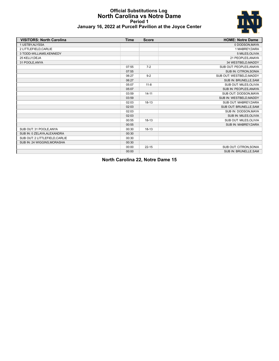## **Official Substitutions Log North Carolina vs Notre Dame Period 1 January 16, 2022 at Purcell Pavilion at the Joyce Center**



| <b>VISITORS: North Carolina</b> | <b>Time</b> | <b>Score</b> | <b>HOME: Notre Dame</b>     |
|---------------------------------|-------------|--------------|-----------------------------|
| 1 USTBY, ALYSSA                 |             |              | 0 DODSON, MAYA              |
| 2 LITTLEFIELD, CARLIE           |             |              | 1 MABREY.DARA               |
| 3 TODD-WILLIAMS, KENNEDY        |             |              | 5 MILES.OLIVIA              |
| 25 KELLY, DEJA                  |             |              | 21 PEOPLES.ANAYA            |
| 31 POOLE, ANYA                  |             |              | 34 WESTBELD, MADDY          |
|                                 | 07:55       | $7 - 2$      | SUB OUT: PEOPLES, ANAYA     |
|                                 | 07:55       |              | SUB IN: CITRON, SONIA       |
|                                 | 06:27       | $9 - 2$      | SUB OUT: WESTBELD, MADDY    |
|                                 | 06:27       |              | SUB IN: BRUNELLE, SAM       |
|                                 | 05:07       | $11 - 8$     | SUB OUT: MILES, OLIVIA      |
|                                 | 05:07       |              | SUB IN: PEOPLES, ANAYA      |
|                                 | 03:59       | $14 - 11$    | SUB OUT: DODSON, MAYA       |
|                                 | 03:59       |              | SUB IN: WESTBELD, MADDY     |
|                                 | 02:03       | $18 - 13$    | SUB OUT: MABREY.DARA        |
|                                 | 02:03       |              | SUB OUT: BRUNELLE.SAM       |
|                                 | 02:03       |              | SUB IN: DODSON, MAYA        |
|                                 | 02:03       |              | SUB IN: MILES, OLIVIA       |
|                                 | 00:55       | $18-13$      | SUB OUT: MILES, OLIVIA      |
|                                 | 00:55       |              | SUB IN: MABREY, DARA        |
| SUB OUT: 31 POOLE, ANYA         | 00:30       | $18-13$      |                             |
| SUB IN: 0 ZELAYA, ALEXANDRA     | 00:30       |              |                             |
| SUB OUT: 2 LITTLEFIELD, CARLIE  | 00:30       |              |                             |
| SUB IN: 24 WIGGINS, MORASHA     | 00:30       |              |                             |
|                                 | 00:00       | $22 - 15$    | SUB OUT: CITRON.SONIA       |
|                                 | 00:00       |              | <b>SUB IN: BRUNELLE.SAM</b> |

**North Carolina 22, Notre Dame 15**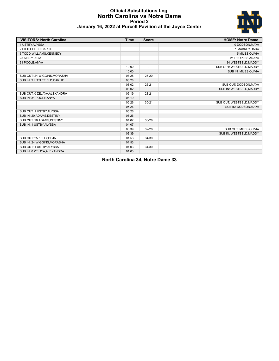## **Official Substitutions Log North Carolina vs Notre Dame Period 2 January 16, 2022 at Purcell Pavilion at the Joyce Center**



| <b>VISITORS: North Carolina</b> | <b>Time</b> | <b>Score</b>             | <b>HOME: Notre Dame</b>  |
|---------------------------------|-------------|--------------------------|--------------------------|
| 1 USTBY.ALYSSA                  |             |                          | 0 DODSON, MAYA           |
| 2 LITTLEFIELD, CARLIE           |             |                          | 1 MABREY, DARA           |
| 3 TODD-WILLIAMS, KENNEDY        |             |                          | 5 MILES, OLIVIA          |
| 25 KELLY, DEJA                  |             |                          | 21 PEOPLES, ANAYA        |
| 31 POOLE, ANYA                  |             |                          | 34 WESTBELD, MADDY       |
|                                 | 10:00       | $\overline{\phantom{a}}$ | SUB OUT: WESTBELD.MADDY  |
|                                 | 10:00       |                          | SUB IN: MILES, OLIVIA    |
| SUB OUT: 24 WIGGINS, MORASHA    | 08:28       | 26-20                    |                          |
| SUB IN: 2 LITTLEFIELD, CARLIE   | 08:28       |                          |                          |
|                                 | 08:02       | $26 - 21$                | SUB OUT: DODSON, MAYA    |
|                                 | 08:02       |                          | SUB IN: WESTBELD, MADDY  |
| SUB OUT: 0 ZELAYA, ALEXANDRA    | 06:19       | 28-21                    |                          |
| SUB IN: 31 POOLE.ANYA           | 06:19       |                          |                          |
|                                 | 05:26       | $30 - 21$                | SUB OUT: WESTBELD, MADDY |
|                                 | 05:26       |                          | SUB IN: DODSON, MAYA     |
| SUB OUT: 1 USTBY, ALYSSA        | 05:26       |                          |                          |
| SUB IN: 20 ADAMS, DESTINY       | 05:26       |                          |                          |
| SUB OUT: 20 ADAMS, DESTINY      | 04:07       | 30-28                    |                          |
| SUB IN: 1 USTBY, ALYSSA         | 04:07       |                          |                          |
|                                 | 03:39       | 32-28                    | SUB OUT: MILES, OLIVIA   |
|                                 | 03:39       |                          | SUB IN: WESTBELD, MADDY  |
| SUB OUT: 25 KELLY, DEJA         | 01:53       | 34-30                    |                          |
| SUB IN: 24 WIGGINS, MORASHA     | 01:53       |                          |                          |
| SUB OUT: 1 USTBY, ALYSSA        | 01:03       | $34 - 30$                |                          |
| SUB IN: 0 ZELAYA.ALEXANDRA      | 01:03       |                          |                          |

**North Carolina 34, Notre Dame 33**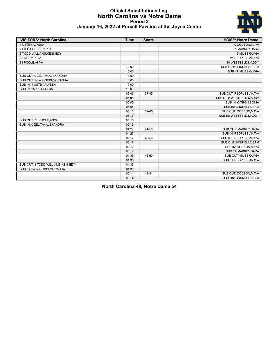## **Official Substitutions Log North Carolina vs Notre Dame Period 3 January 16, 2022 at Purcell Pavilion at the Joyce Center**



| <b>VISITORS: North Carolina</b>   | <b>Time</b> | <b>Score</b>             | <b>HOME: Notre Dame</b>  |
|-----------------------------------|-------------|--------------------------|--------------------------|
| 1 USTBY, ALYSSA                   |             |                          | 0 DODSON, MAYA           |
| 2 LITTLEFIELD, CARLIE             |             |                          | 1 MABREY, DARA           |
| 3 TODD-WILLIAMS, KENNEDY          |             |                          | 5 MILES, OLIVIA          |
| 25 KELLY, DEJA                    |             |                          | 21 PEOPLES, ANAYA        |
| 31 POOLE, ANYA                    |             |                          | 34 WESTBELD, MADDY       |
|                                   | 10:00       | $\overline{\phantom{a}}$ | SUB OUT: BRUNELLE, SAM   |
|                                   | 10:00       |                          | SUB IN: MILES, OLIVIA    |
| SUB OUT: 0 ZELAYA, ALEXANDRA      | 10:00       |                          |                          |
| SUB OUT: 24 WIGGINS, MORASHA      | 10:00       |                          |                          |
| SUB IN: 1 USTBY, ALYSSA           | 10:00       |                          |                          |
| SUB IN: 25 KELLY, DEJA            | 10:00       |                          |                          |
|                                   | 06:05       | $37 - 45$                | SUB OUT: PEOPLES, ANAYA  |
|                                   | 06:05       |                          | SUB OUT: WESTBELD, MADDY |
|                                   | 06:05       |                          | SUB IN: CITRON, SONIA    |
|                                   | 06:05       |                          | SUB IN: BRUNELLE, SAM    |
|                                   | 05:16       | 39-45                    | SUB OUT: DODSON, MAYA    |
|                                   | 05:16       |                          | SUB IN: WESTBELD, MADDY  |
| SUB OUT: 31 POOLE, ANYA           | 05:16       |                          |                          |
| SUB IN: 0 ZELAYA, ALEXANDRA       | 05:16       |                          |                          |
|                                   | 04:27       | 41-50                    | SUB OUT: MABREY, DARA    |
|                                   | 04:27       |                          | SUB IN: PEOPLES, ANAYA   |
|                                   | 03:17       | 43-50                    | SUB OUT: PEOPLES, ANAYA  |
|                                   | 03:17       |                          | SUB OUT: BRUNELLE, SAM   |
|                                   | 03:17       |                          | SUB IN: DODSON, MAYA     |
|                                   | 03:17       |                          | SUB IN: MABREY, DARA     |
|                                   | 01:35       | 48-50                    | SUB OUT: MILES, OLIVIA   |
|                                   | 01:35       |                          | SUB IN: PEOPLES, ANAYA   |
| SUB OUT: 3 TODD-WILLIAMS, KENNEDY | 01:35       |                          |                          |
| SUB IN: 24 WIGGINS, MORASHA       | 01:35       |                          |                          |
|                                   | 00:14       | 48-54                    | SUB OUT: DODSON, MAYA    |
|                                   | 00:14       |                          | SUB IN: BRUNELLE, SAM    |

**North Carolina 48, Notre Dame 54**